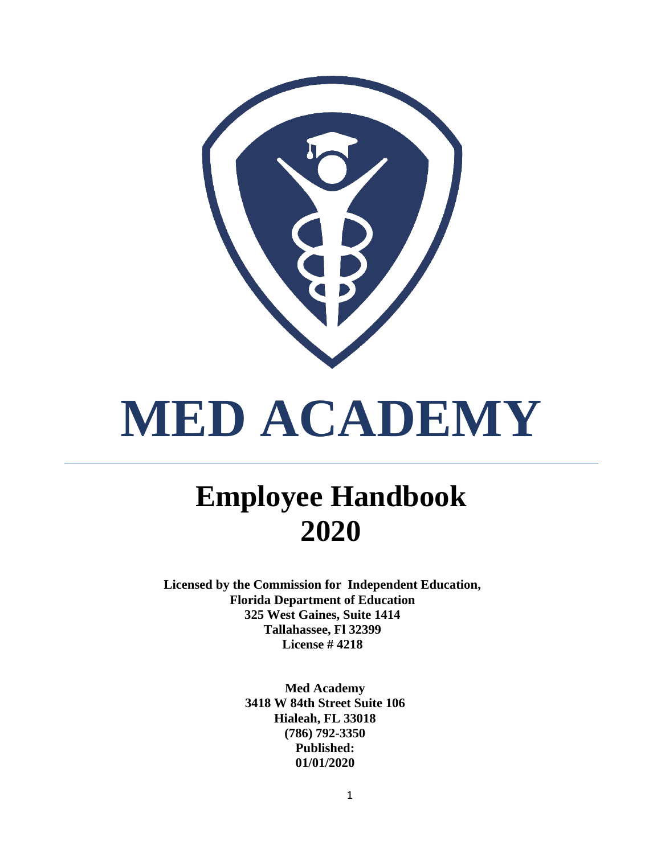

# **MED ACADEMY**

# **Employee Handbook 2020**

**Licensed by the Commission for Independent Education, Florida Department of Education 325 West Gaines, Suite 1414 Tallahassee, Fl 32399 License # 4218**

> **Med Academy 3418 W 84th Street Suite 106 Hialeah, FL 33018 (786) 792-3350 Published: 01/01/2020**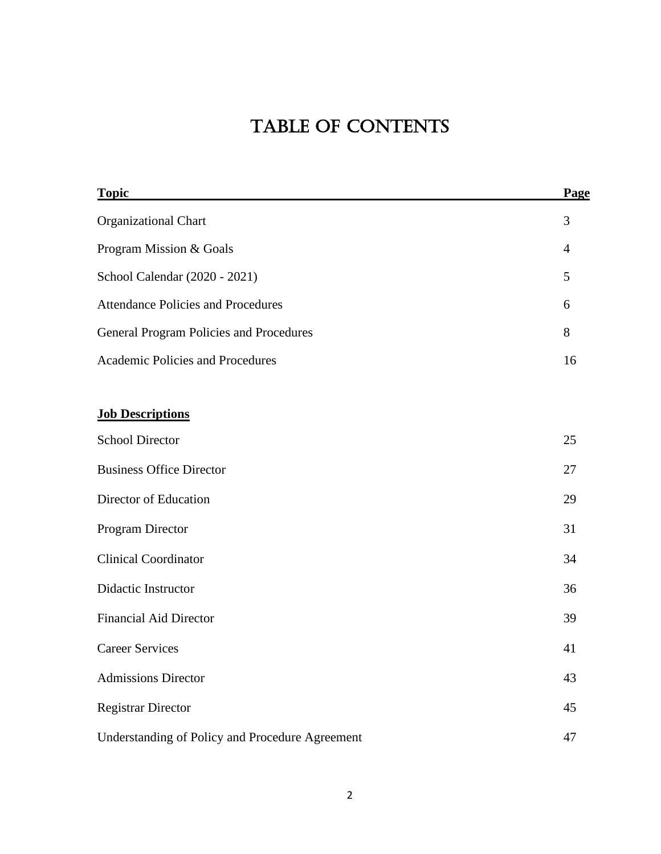# TABLE OF CONTENTS

| <b>Topic</b>                                    | Page           |
|-------------------------------------------------|----------------|
| Organizational Chart                            | 3              |
| Program Mission & Goals                         | $\overline{4}$ |
| School Calendar (2020 - 2021)                   | 5              |
| <b>Attendance Policies and Procedures</b>       | 6              |
| <b>General Program Policies and Procedures</b>  | 8              |
| <b>Academic Policies and Procedures</b>         | 16             |
| <b>Job Descriptions</b>                         |                |
| <b>School Director</b>                          | 25             |
| <b>Business Office Director</b>                 | 27             |
| Director of Education                           | 29             |
| Program Director                                | 31             |
| <b>Clinical Coordinator</b>                     | 34             |
| Didactic Instructor                             | 36             |
| <b>Financial Aid Director</b>                   | 39             |
| <b>Career Services</b>                          | 41             |
| <b>Admissions Director</b>                      | 43             |
| <b>Registrar Director</b>                       | 45             |
| Understanding of Policy and Procedure Agreement | 47             |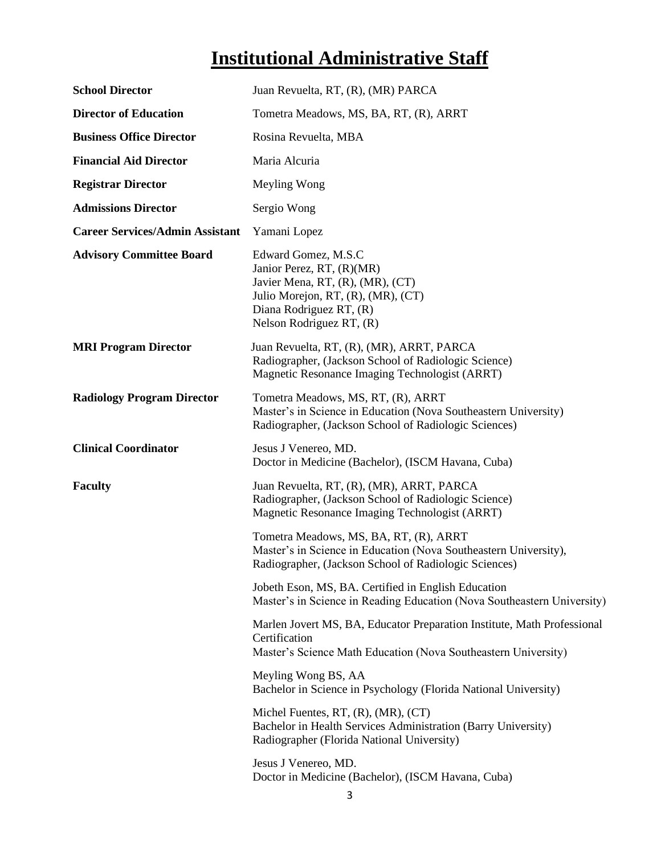# **Institutional Administrative Staff**

| <b>School Director</b>                 | Juan Revuelta, RT, (R), (MR) PARCA                                                                                                                                                |
|----------------------------------------|-----------------------------------------------------------------------------------------------------------------------------------------------------------------------------------|
| <b>Director of Education</b>           | Tometra Meadows, MS, BA, RT, (R), ARRT                                                                                                                                            |
| <b>Business Office Director</b>        | Rosina Revuelta, MBA                                                                                                                                                              |
| <b>Financial Aid Director</b>          | Maria Alcuria                                                                                                                                                                     |
| <b>Registrar Director</b>              | Meyling Wong                                                                                                                                                                      |
| <b>Admissions Director</b>             | Sergio Wong                                                                                                                                                                       |
| <b>Career Services/Admin Assistant</b> | Yamani Lopez                                                                                                                                                                      |
| <b>Advisory Committee Board</b>        | Edward Gomez, M.S.C<br>Janior Perez, RT, (R)(MR)<br>Javier Mena, RT, (R), (MR), (CT)<br>Julio Morejon, RT, (R), (MR), (CT)<br>Diana Rodriguez RT, (R)<br>Nelson Rodriguez RT, (R) |
| <b>MRI Program Director</b>            | Juan Revuelta, RT, (R), (MR), ARRT, PARCA<br>Radiographer, (Jackson School of Radiologic Science)<br>Magnetic Resonance Imaging Technologist (ARRT)                               |
| <b>Radiology Program Director</b>      | Tometra Meadows, MS, RT, (R), ARRT<br>Master's in Science in Education (Nova Southeastern University)<br>Radiographer, (Jackson School of Radiologic Sciences)                    |
| <b>Clinical Coordinator</b>            | Jesus J Venereo, MD.<br>Doctor in Medicine (Bachelor), (ISCM Havana, Cuba)                                                                                                        |
| <b>Faculty</b>                         | Juan Revuelta, RT, (R), (MR), ARRT, PARCA<br>Radiographer, (Jackson School of Radiologic Science)<br>Magnetic Resonance Imaging Technologist (ARRT)                               |
|                                        | Tometra Meadows, MS, BA, RT, (R), ARRT<br>Master's in Science in Education (Nova Southeastern University),<br>Radiographer, (Jackson School of Radiologic Sciences)               |
|                                        | Jobeth Eson, MS, BA. Certified in English Education<br>Master's in Science in Reading Education (Nova Southeastern University)                                                    |
|                                        | Marlen Jovert MS, BA, Educator Preparation Institute, Math Professional<br>Certification<br>Master's Science Math Education (Nova Southeastern University)                        |
|                                        | Meyling Wong BS, AA<br>Bachelor in Science in Psychology (Florida National University)                                                                                            |
|                                        | Michel Fuentes, RT, (R), (MR), (CT)<br>Bachelor in Health Services Administration (Barry University)<br>Radiographer (Florida National University)                                |
|                                        | Jesus J Venereo, MD.<br>Doctor in Medicine (Bachelor), (ISCM Havana, Cuba)<br>3                                                                                                   |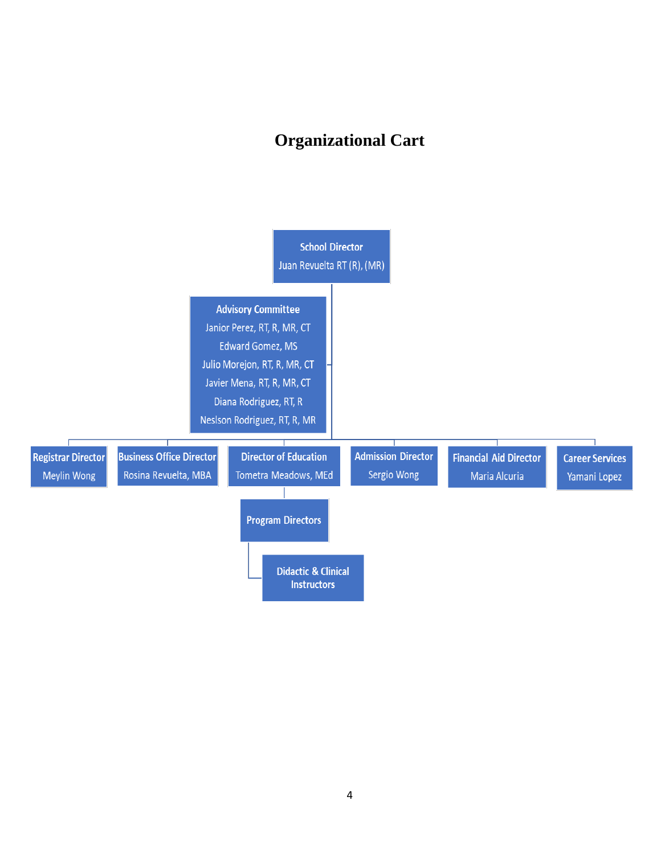# **Organizational Cart**

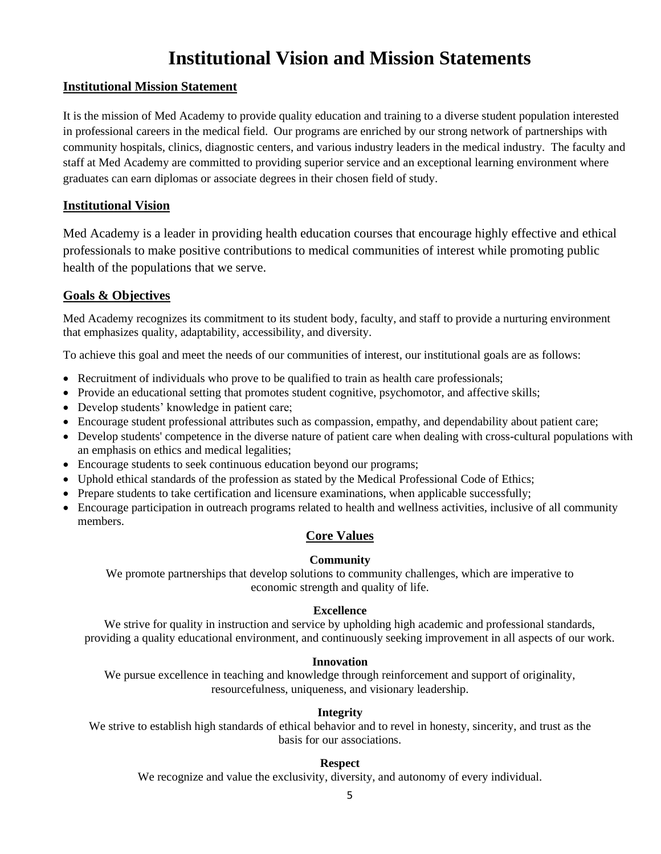# **Institutional Vision and Mission Statements**

#### **Institutional Mission Statement**

It is the mission of Med Academy to provide quality education and training to a diverse student population interested in professional careers in the medical field. Our programs are enriched by our strong network of partnerships with community hospitals, clinics, diagnostic centers, and various industry leaders in the medical industry. The faculty and staff at Med Academy are committed to providing superior service and an exceptional learning environment where graduates can earn diplomas or associate degrees in their chosen field of study.

#### **Institutional Vision**

Med Academy is a leader in providing health education courses that encourage highly effective and ethical professionals to make positive contributions to medical communities of interest while promoting public health of the populations that we serve.

#### **Goals & Objectives**

Med Academy recognizes its commitment to its student body, faculty, and staff to provide a nurturing environment that emphasizes quality, adaptability, accessibility, and diversity.

To achieve this goal and meet the needs of our communities of interest, our institutional goals are as follows:

- Recruitment of individuals who prove to be qualified to train as health care professionals;
- Provide an educational setting that promotes student cognitive, psychomotor, and affective skills;
- Develop students' knowledge in patient care;
- Encourage student professional attributes such as compassion, empathy, and dependability about patient care;
- Develop students' competence in the diverse nature of patient care when dealing with cross-cultural populations with an emphasis on ethics and medical legalities;
- Encourage students to seek continuous education beyond our programs;
- Uphold ethical standards of the profession as stated by the Medical Professional Code of Ethics;
- Prepare students to take certification and licensure examinations, when applicable successfully;
- Encourage participation in outreach programs related to health and wellness activities, inclusive of all community members.

# **Core Values**

#### **Community**

We promote partnerships that develop solutions to community challenges, which are imperative to economic strength and quality of life.

#### **Excellence**

We strive for quality in instruction and service by upholding high academic and professional standards, providing a quality educational environment, and continuously seeking improvement in all aspects of our work.

#### **Innovation**

We pursue excellence in teaching and knowledge through reinforcement and support of originality, resourcefulness, uniqueness, and visionary leadership.

#### **Integrity**

We strive to establish high standards of ethical behavior and to revel in honesty, sincerity, and trust as the basis for our associations.

#### **Respect**

We recognize and value the exclusivity, diversity, and autonomy of every individual.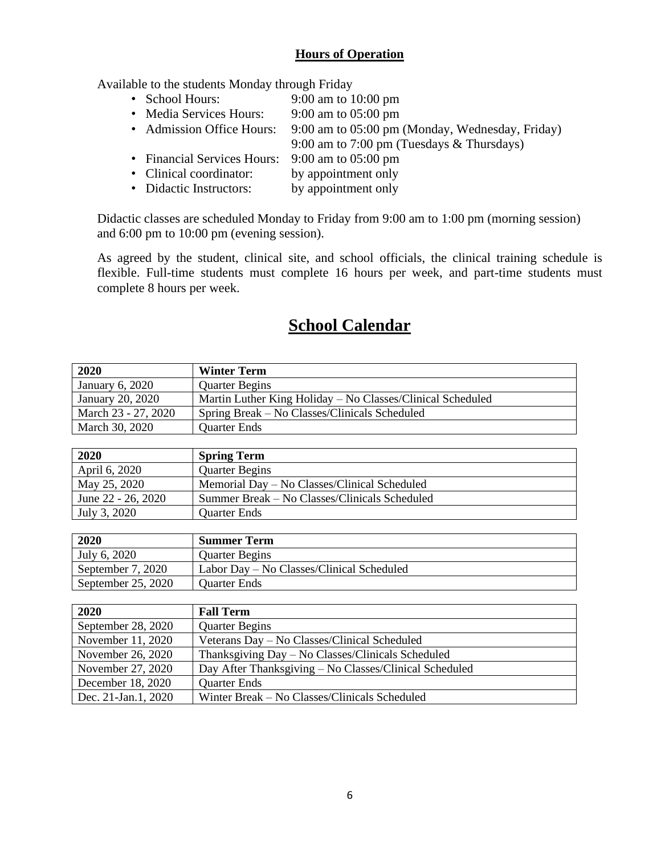# **Hours of Operation**

Available to the students Monday through Friday

- School Hours: 9:00 am to 10:00 pm
- Media Services Hours: 9:00 am to 05:00 pm
- Admission Office Hours: 9:00 am to 05:00 pm (Monday, Wednesday, Friday)
	- 9:00 am to 7:00 pm (Tuesdays & Thursdays)
- Financial Services Hours: 9:00 am to 05:00 pm
- Clinical coordinator: by appointment only
- Didactic Instructors: by appointment only

Didactic classes are scheduled Monday to Friday from 9:00 am to 1:00 pm (morning session) and 6:00 pm to 10:00 pm (evening session).

As agreed by the student, clinical site, and school officials, the clinical training schedule is flexible. Full-time students must complete 16 hours per week, and part-time students must complete 8 hours per week.

| 2020                | <b>Winter Term</b>                                         |
|---------------------|------------------------------------------------------------|
| January 6, 2020     | <b>Quarter Begins</b>                                      |
| January 20, 2020    | Martin Luther King Holiday - No Classes/Clinical Scheduled |
| March 23 - 27, 2020 | Spring Break – No Classes/Clinicals Scheduled              |
| March 30, 2020      | <b>Quarter Ends</b>                                        |
|                     |                                                            |
| 2020                | <b>Spring Term</b>                                         |
| April 6, 2020       | <b>Quarter Begins</b>                                      |
| May 25, 2020        | Memorial Day - No Classes/Clinical Scheduled               |
| June 22 - 26, 2020  | Summer Break - No Classes/Clinicals Scheduled              |
| July 3, 2020        | <b>Quarter Ends</b>                                        |
|                     |                                                            |
| 2020                | <b>Summer Term</b>                                         |
| July 6, 2020        | <b>Quarter Begins</b>                                      |
| September 7, 2020   | Labor Day - No Classes/Clinical Scheduled                  |
| September 25, 2020  | <b>Quarter Ends</b>                                        |
|                     |                                                            |
| 2020                | <b>Fall Term</b>                                           |
| September 28, 2020  | <b>Quarter Begins</b>                                      |
| November 11, 2020   | Veterans Day - No Classes/Clinical Scheduled               |
| November 26, 2020   | Thanksgiving Day - No Classes/Clinicals Scheduled          |
| November 27, 2020   | Day After Thanksgiving - No Classes/Clinical Scheduled     |
| December 18, 2020   | <b>Ouarter Ends</b>                                        |

Dec. 21-Jan.1, 2020 Winter Break – No Classes/Clinicals Scheduled

# **School Calendar**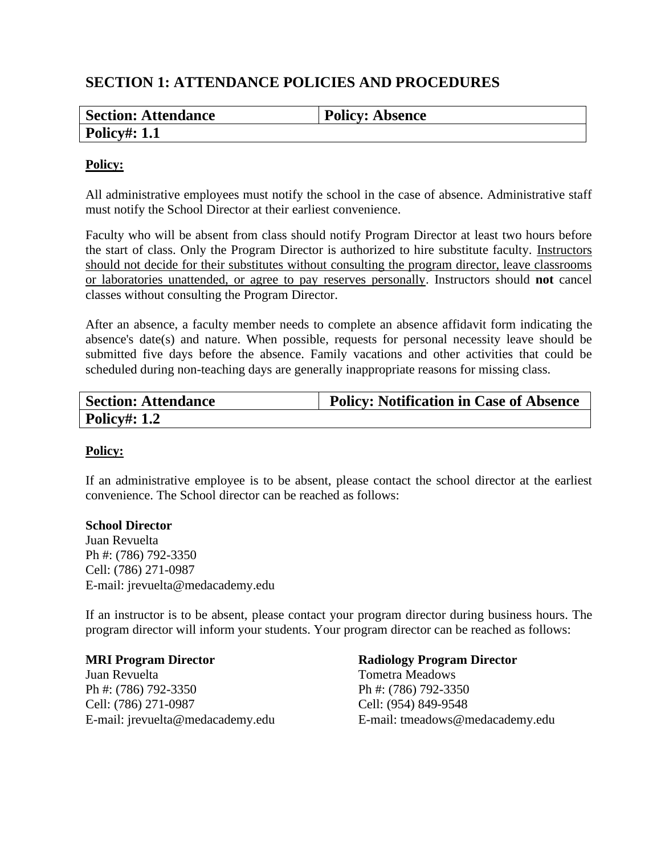# **SECTION 1: ATTENDANCE POLICIES AND PROCEDURES**

| <b>Section: Attendance</b> | <b>Policy: Absence</b> |
|----------------------------|------------------------|
| <b>Policy#: 1.1</b>        |                        |

#### **Policy:**

All administrative employees must notify the school in the case of absence. Administrative staff must notify the School Director at their earliest convenience.

Faculty who will be absent from class should notify Program Director at least two hours before the start of class. Only the Program Director is authorized to hire substitute faculty. Instructors should not decide for their substitutes without consulting the program director, leave classrooms or laboratories unattended, or agree to pay reserves personally. Instructors should **not** cancel classes without consulting the Program Director.

After an absence, a faculty member needs to complete an absence affidavit form indicating the absence's date(s) and nature. When possible, requests for personal necessity leave should be submitted five days before the absence. Family vacations and other activities that could be scheduled during non-teaching days are generally inappropriate reasons for missing class.

| <b>Section: Attendance</b> | <b>Policy: Notification in Case of Absence</b> |
|----------------------------|------------------------------------------------|
| <b>Policy#: 1.2</b>        |                                                |

#### **Policy:**

If an administrative employee is to be absent, please contact the school director at the earliest convenience. The School director can be reached as follows:

#### **School Director**

Juan Revuelta Ph #: (786) 792-3350 Cell: (786) 271-0987 E-mail: jrevuelta@medacademy.edu

If an instructor is to be absent, please contact your program director during business hours. The program director will inform your students. Your program director can be reached as follows:

#### **MRI Program Director**

Juan Revuelta Ph #: (786) 792-3350 Cell: (786) 271-0987 E-mail: jrevuelta@medacademy.edu

**Radiology Program Director** Tometra Meadows Ph #: (786) 792-3350 Cell: (954) 849-9548 E-mail: tmeadows@medacademy.edu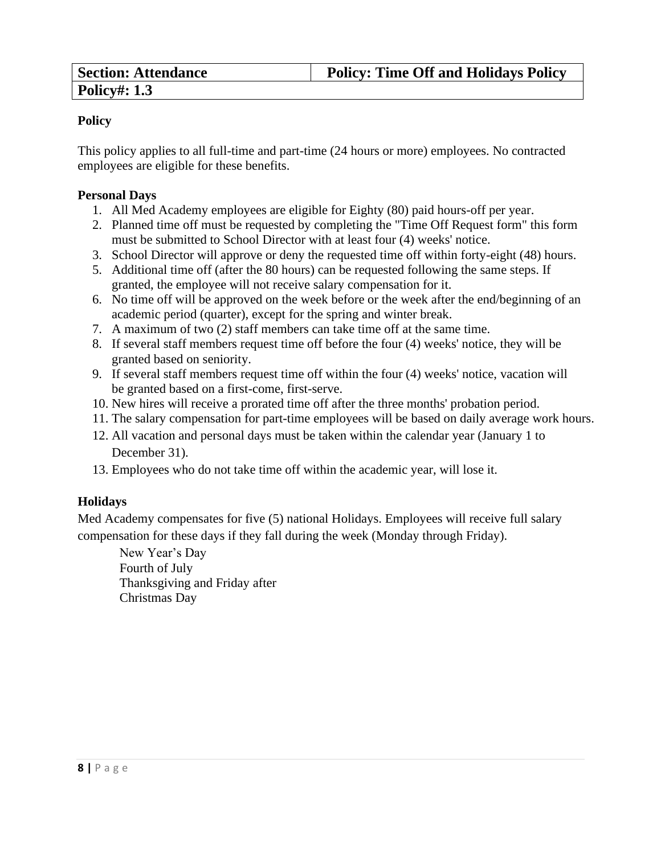| <b>Section: Attendance</b> | <b>Policy: Time Off and Holidays Policy</b> |
|----------------------------|---------------------------------------------|
| <b>Policy#: 1.3</b>        |                                             |

This policy applies to all full-time and part-time (24 hours or more) employees. No contracted employees are eligible for these benefits.

# **Personal Days**

- 1. All Med Academy employees are eligible for Eighty (80) paid hours-off per year.
- 2. Planned time off must be requested by completing the "Time Off Request form" this form must be submitted to School Director with at least four (4) weeks' notice.
- 3. School Director will approve or deny the requested time off within forty-eight (48) hours.
- 5. Additional time off (after the 80 hours) can be requested following the same steps. If granted, the employee will not receive salary compensation for it.
- 6. No time off will be approved on the week before or the week after the end/beginning of an academic period (quarter), except for the spring and winter break.
- 7. A maximum of two (2) staff members can take time off at the same time.
- 8. If several staff members request time off before the four (4) weeks' notice, they will be granted based on seniority.
- 9. If several staff members request time off within the four (4) weeks' notice, vacation will be granted based on a first-come, first-serve.
- 10. New hires will receive a prorated time off after the three months' probation period.
- 11. The salary compensation for part-time employees will be based on daily average work hours.
- 12. All vacation and personal days must be taken within the calendar year (January 1 to December 31).
- 13. Employees who do not take time off within the academic year, will lose it.

# **Holidays**

Med Academy compensates for five (5) national Holidays. Employees will receive full salary compensation for these days if they fall during the week (Monday through Friday).

New Year's Day Fourth of July Thanksgiving and Friday after Christmas Day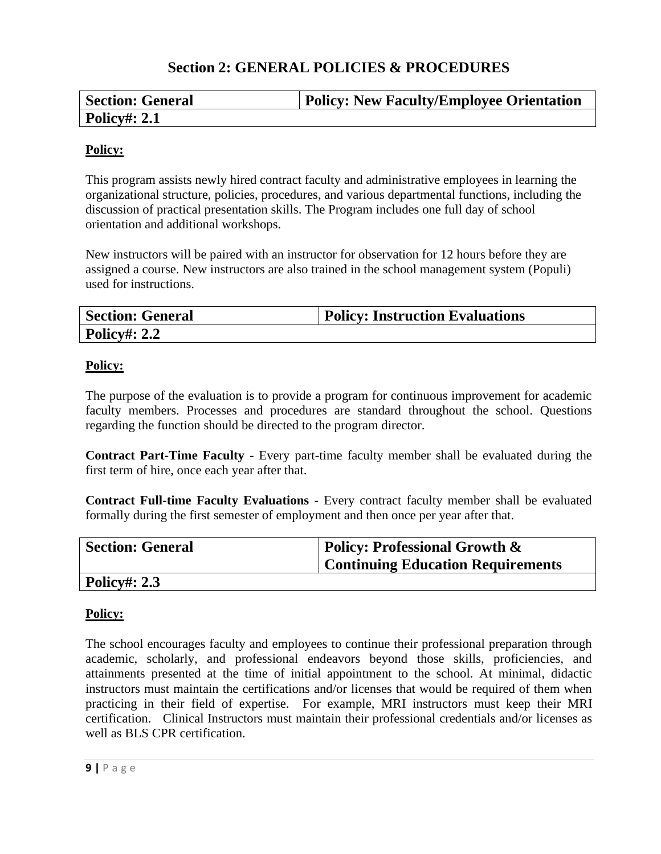# **Section 2: GENERAL POLICIES & PROCEDURES**

| <b>Section: General</b> | <b>Policy: New Faculty/Employee Orientation</b> |
|-------------------------|-------------------------------------------------|
| Policy#: $2.1$          |                                                 |

# **Policy:**

This program assists newly hired contract faculty and administrative employees in learning the organizational structure, policies, procedures, and various departmental functions, including the discussion of practical presentation skills. The Program includes one full day of school orientation and additional workshops.

New instructors will be paired with an instructor for observation for 12 hours before they are assigned a course. New instructors are also trained in the school management system (Populi) used for instructions.

| <b>Section: General</b> | <b>Policy: Instruction Evaluations</b> |
|-------------------------|----------------------------------------|
| <b>Policy#: 2.2</b>     |                                        |

# **Policy:**

The purpose of the evaluation is to provide a program for continuous improvement for academic faculty members. Processes and procedures are standard throughout the school. Questions regarding the function should be directed to the program director.

**Contract Part-Time Faculty** - Every part-time faculty member shall be evaluated during the first term of hire, once each year after that.

**Contract Full-time Faculty Evaluations** - Every contract faculty member shall be evaluated formally during the first semester of employment and then once per year after that.

| <b>Section: General</b> | <b>Policy: Professional Growth &amp;</b><br><b>Continuing Education Requirements</b> |
|-------------------------|--------------------------------------------------------------------------------------|
| <b>Policy#: 2.3</b>     |                                                                                      |

# **Policy:**

The school encourages faculty and employees to continue their professional preparation through academic, scholarly, and professional endeavors beyond those skills, proficiencies, and attainments presented at the time of initial appointment to the school. At minimal, didactic instructors must maintain the certifications and/or licenses that would be required of them when practicing in their field of expertise. For example, MRI instructors must keep their MRI certification. Clinical Instructors must maintain their professional credentials and/or licenses as well as BLS CPR certification.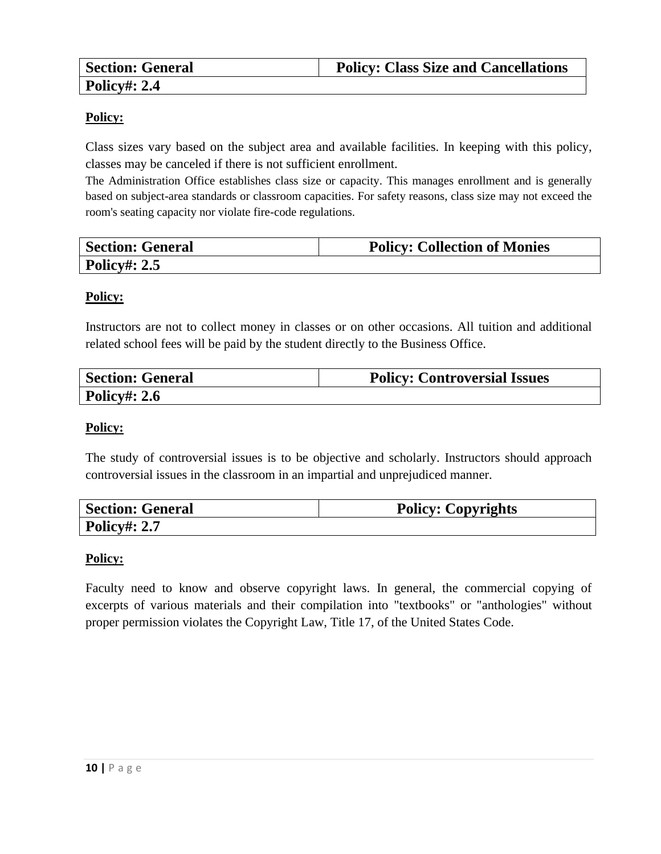| <b>Section: General</b> | <b>Policy: Class Size and Cancellations</b> |
|-------------------------|---------------------------------------------|
| <b>Policy#: 2.4</b>     |                                             |

Class sizes vary based on the subject area and available facilities. In keeping with this policy, classes may be canceled if there is not sufficient enrollment.

The Administration Office establishes class size or capacity. This manages enrollment and is generally based on subject-area standards or classroom capacities. For safety reasons, class size may not exceed the room's seating capacity nor violate fire-code regulations.

| <b>Section: General</b> | <b>Policy: Collection of Monies</b> |
|-------------------------|-------------------------------------|
| Policy#: $2.5$          |                                     |

# **Policy:**

Instructors are not to collect money in classes or on other occasions. All tuition and additional related school fees will be paid by the student directly to the Business Office.

| <b>Section: General</b> | <b>Policy: Controversial Issues</b> |
|-------------------------|-------------------------------------|
| Policy#: $2.6$          |                                     |

# **Policy:**

The study of controversial issues is to be objective and scholarly. Instructors should approach controversial issues in the classroom in an impartial and unprejudiced manner.

| <b>Section: General</b> | <b>Policy: Copyrights</b> |
|-------------------------|---------------------------|
| <b>Policy#: 2.7</b>     |                           |

# **Policy:**

Faculty need to know and observe copyright laws. In general, the commercial copying of excerpts of various materials and their compilation into "textbooks" or "anthologies" without proper permission violates the Copyright Law, Title 17, of the United States Code.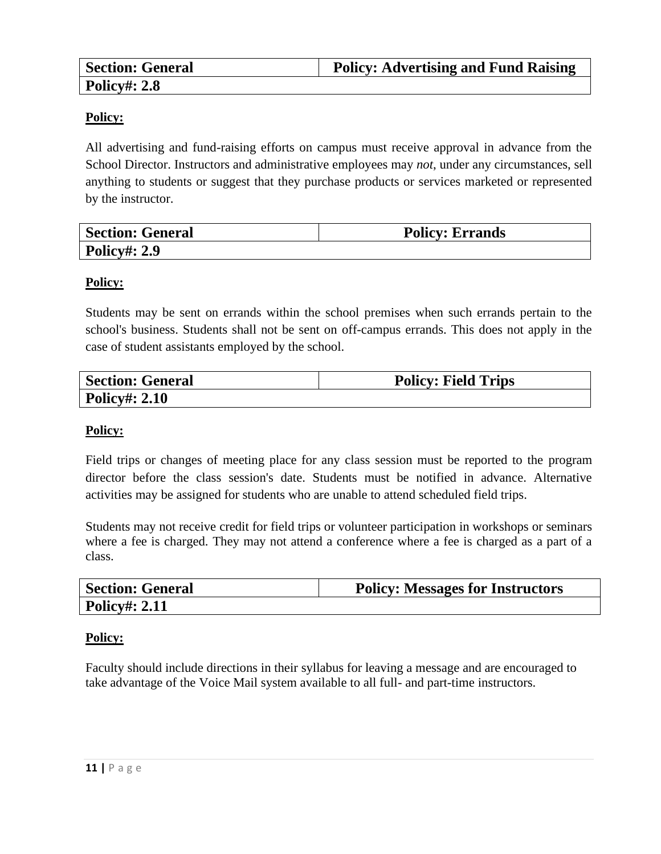| <b>Section: General</b> | <b>Policy: Advertising and Fund Raising</b> |
|-------------------------|---------------------------------------------|
| <b>Policy#: 2.8</b>     |                                             |

All advertising and fund-raising efforts on campus must receive approval in advance from the School Director. Instructors and administrative employees may *not*, under any circumstances, sell anything to students or suggest that they purchase products or services marketed or represented by the instructor.

| <b>Section: General</b> | <b>Policy: Errands</b> |
|-------------------------|------------------------|
| <b>Policy#: 2.9</b>     |                        |

# **Policy:**

Students may be sent on errands within the school premises when such errands pertain to the school's business. Students shall not be sent on off-campus errands. This does not apply in the case of student assistants employed by the school.

| <b>Section: General</b> | <b>Policy: Field Trips</b> |
|-------------------------|----------------------------|
| <b>Policy#: 2.10</b>    |                            |

#### **Policy:**

Field trips or changes of meeting place for any class session must be reported to the program director before the class session's date. Students must be notified in advance. Alternative activities may be assigned for students who are unable to attend scheduled field trips.

Students may not receive credit for field trips or volunteer participation in workshops or seminars where a fee is charged. They may not attend a conference where a fee is charged as a part of a class.

| <b>Section: General</b> | <b>Policy: Messages for Instructors</b> |
|-------------------------|-----------------------------------------|
| <b>Policy#: 2.11</b>    |                                         |

#### **Policy:**

Faculty should include directions in their syllabus for leaving a message and are encouraged to take advantage of the Voice Mail system available to all full- and part-time instructors.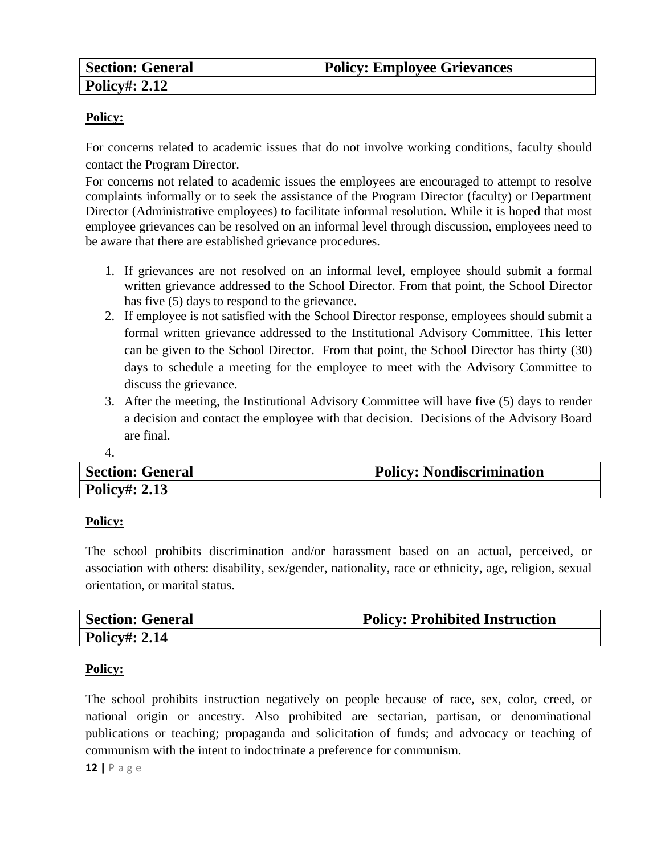For concerns related to academic issues that do not involve working conditions, faculty should contact the Program Director.

For concerns not related to academic issues the employees are encouraged to attempt to resolve complaints informally or to seek the assistance of the Program Director (faculty) or Department Director (Administrative employees) to facilitate informal resolution. While it is hoped that most employee grievances can be resolved on an informal level through discussion, employees need to be aware that there are established grievance procedures.

- 1. If grievances are not resolved on an informal level, employee should submit a formal written grievance addressed to the School Director. From that point, the School Director has five (5) days to respond to the grievance.
- 2. If employee is not satisfied with the School Director response, employees should submit a formal written grievance addressed to the Institutional Advisory Committee. This letter can be given to the School Director. From that point, the School Director has thirty (30) days to schedule a meeting for the employee to meet with the Advisory Committee to discuss the grievance.
- 3. After the meeting, the Institutional Advisory Committee will have five (5) days to render a decision and contact the employee with that decision. Decisions of the Advisory Board are final.

| $\sim$ |
|--------|
|        |

| <b>Section: General</b> | <b>Policy: Nondiscrimination</b> |
|-------------------------|----------------------------------|
| <b>Policy#: 2.13</b>    |                                  |

# **Policy:**

The school prohibits discrimination and/or harassment based on an actual, perceived, or association with others: disability, sex/gender, nationality, race or ethnicity, age, religion, sexual orientation, or marital status.

| <b>Section: General</b> | <b>Policy: Prohibited Instruction</b> |
|-------------------------|---------------------------------------|
| <b>Policy#: 2.14</b>    |                                       |

# **Policy:**

The school prohibits instruction negatively on people because of race, sex, color, creed, or national origin or ancestry. Also prohibited are sectarian, partisan, or denominational publications or teaching; propaganda and solicitation of funds; and advocacy or teaching of communism with the intent to indoctrinate a preference for communism.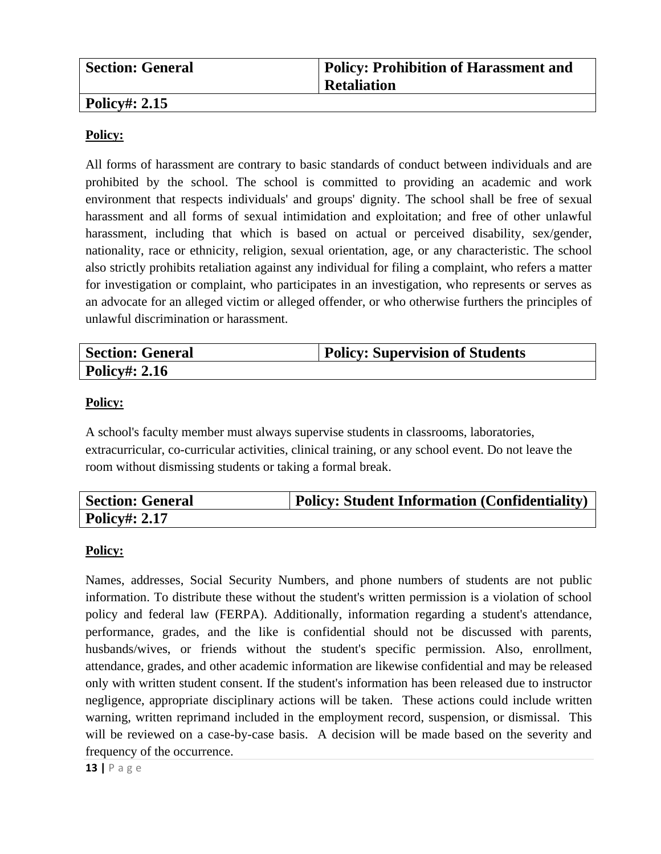| <b>Section: General</b> | <b>Policy: Prohibition of Harassment and</b> |
|-------------------------|----------------------------------------------|
|                         | <b>Retaliation</b>                           |

# **Policy#: 2.15**

# **Policy:**

All forms of harassment are contrary to basic standards of conduct between individuals and are prohibited by the school. The school is committed to providing an academic and work environment that respects individuals' and groups' dignity. The school shall be free of sexual harassment and all forms of sexual intimidation and exploitation; and free of other unlawful harassment, including that which is based on actual or perceived disability, sex/gender, nationality, race or ethnicity, religion, sexual orientation, age, or any characteristic. The school also strictly prohibits retaliation against any individual for filing a complaint, who refers a matter for investigation or complaint, who participates in an investigation, who represents or serves as an advocate for an alleged victim or alleged offender, or who otherwise furthers the principles of unlawful discrimination or harassment.

| <b>Section: General</b> | Policy: Supervision of Students |
|-------------------------|---------------------------------|
| <b>Policy#: 2.16</b>    |                                 |

# **Policy:**

A school's faculty member must always supervise students in classrooms, laboratories, extracurricular, co-curricular activities, clinical training, or any school event. Do not leave the room without dismissing students or taking a formal break.

| <b>Section: General</b> | <b>Policy: Student Information (Confidentiality)</b> |
|-------------------------|------------------------------------------------------|
| <b>Policy#: 2.17</b>    |                                                      |

# **Policy:**

Names, addresses, Social Security Numbers, and phone numbers of students are not public information. To distribute these without the student's written permission is a violation of school policy and federal law (FERPA). Additionally, information regarding a student's attendance, performance, grades, and the like is confidential should not be discussed with parents, husbands/wives, or friends without the student's specific permission. Also, enrollment, attendance, grades, and other academic information are likewise confidential and may be released only with written student consent. If the student's information has been released due to instructor negligence, appropriate disciplinary actions will be taken. These actions could include written warning, written reprimand included in the employment record, suspension, or dismissal. This will be reviewed on a case-by-case basis. A decision will be made based on the severity and frequency of the occurrence.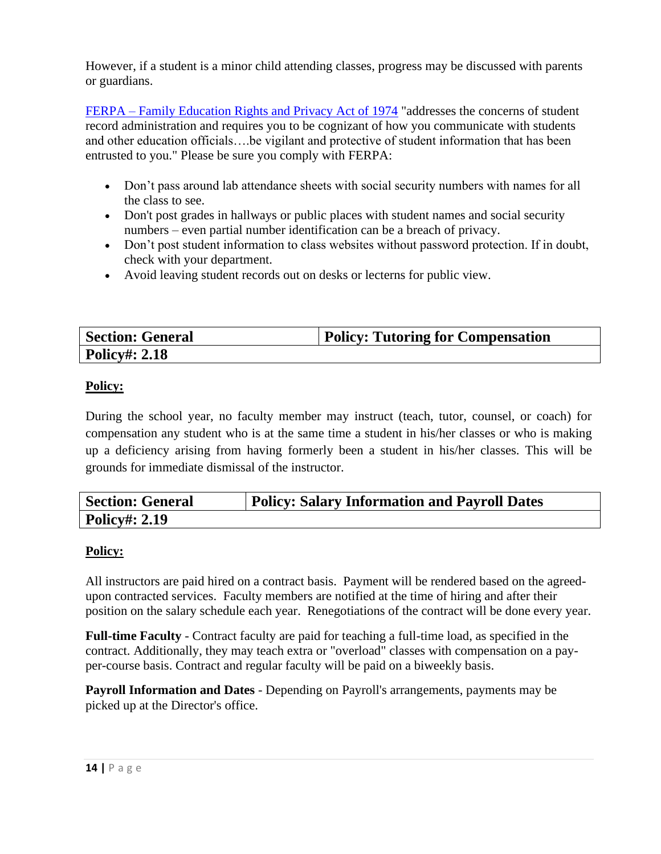However, if a student is a minor child attending classes, progress may be discussed with parents or guardians.

FERPA – [Family Education Rights and Privacy Act of 1974](http://www.ed.gov/offices/OII/fpco/ferpa/) "addresses the concerns of student record administration and requires you to be cognizant of how you communicate with students and other education officials….be vigilant and protective of student information that has been entrusted to you." Please be sure you comply with FERPA:

- Don't pass around lab attendance sheets with social security numbers with names for all the class to see.
- Don't post grades in hallways or public places with student names and social security numbers – even partial number identification can be a breach of privacy.
- Don't post student information to class websites without password protection. If in doubt, check with your department.
- Avoid leaving student records out on desks or lecterns for public view.

| <b>Section: General</b> | <b>Policy: Tutoring for Compensation</b> |
|-------------------------|------------------------------------------|
| <b>Policy#: 2.18</b>    |                                          |

# **Policy:**

During the school year, no faculty member may instruct (teach, tutor, counsel, or coach) for compensation any student who is at the same time a student in his/her classes or who is making up a deficiency arising from having formerly been a student in his/her classes. This will be grounds for immediate dismissal of the instructor.

| <b>Section: General</b> | <b>Policy: Salary Information and Payroll Dates</b> |
|-------------------------|-----------------------------------------------------|
| <b>Policy#: 2.19</b>    |                                                     |

# **Policy:**

All instructors are paid hired on a contract basis. Payment will be rendered based on the agreedupon contracted services. Faculty members are notified at the time of hiring and after their position on the salary schedule each year. Renegotiations of the contract will be done every year.

**Full-time Faculty** - Contract faculty are paid for teaching a full-time load, as specified in the contract. Additionally, they may teach extra or "overload" classes with compensation on a payper-course basis. Contract and regular faculty will be paid on a biweekly basis.

**Payroll Information and Dates** - Depending on Payroll's arrangements, payments may be picked up at the Director's office.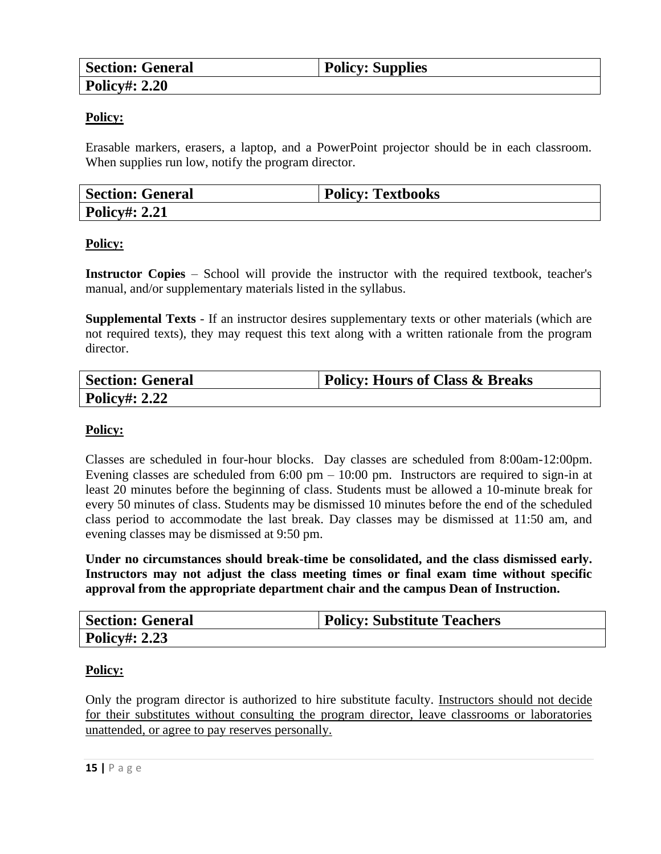| <b>Section: General</b> | <b>Policy: Supplies</b> |
|-------------------------|-------------------------|
| <b>Policy#: 2.20</b>    |                         |

Erasable markers, erasers, a laptop, and a PowerPoint projector should be in each classroom. When supplies run low, notify the program director.

| <b>Section: General</b> | <b>Policy: Textbooks</b> |
|-------------------------|--------------------------|
| <b>Policy#: 2.21</b>    |                          |

#### **Policy:**

**Instructor Copies** – School will provide the instructor with the required textbook, teacher's manual, and/or supplementary materials listed in the syllabus.

**Supplemental Texts** - If an instructor desires supplementary texts or other materials (which are not required texts), they may request this text along with a written rationale from the program director.

| <b>Section: General</b> | <b>Policy: Hours of Class &amp; Breaks</b> |
|-------------------------|--------------------------------------------|
| <b>Policy#: 2.22</b>    |                                            |

#### **Policy:**

Classes are scheduled in four-hour blocks. Day classes are scheduled from 8:00am-12:00pm. Evening classes are scheduled from  $6:00 \text{ pm} - 10:00 \text{ pm}$ . Instructors are required to sign-in at least 20 minutes before the beginning of class. Students must be allowed a 10-minute break for every 50 minutes of class. Students may be dismissed 10 minutes before the end of the scheduled class period to accommodate the last break. Day classes may be dismissed at 11:50 am, and evening classes may be dismissed at 9:50 pm.

**Under no circumstances should break-time be consolidated, and the class dismissed early. Instructors may not adjust the class meeting times or final exam time without specific approval from the appropriate department chair and the campus Dean of Instruction.**

| <b>Section: General</b> | <b>Policy: Substitute Teachers</b> |
|-------------------------|------------------------------------|
| <b>Policy#: 2.23</b>    |                                    |

#### **Policy:**

Only the program director is authorized to hire substitute faculty. Instructors should not decide for their substitutes without consulting the program director, leave classrooms or laboratories unattended, or agree to pay reserves personally.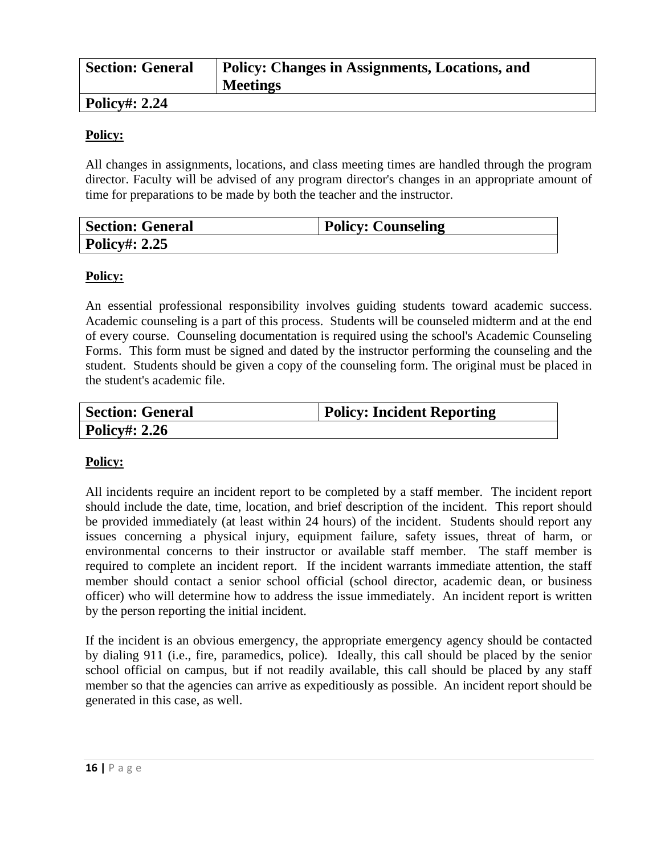| <b>Section: General</b> | Policy: Changes in Assignments, Locations, and<br><b>Meetings</b> |
|-------------------------|-------------------------------------------------------------------|
| $\vert$ Policy#: 2.24   |                                                                   |

All changes in assignments, locations, and class meeting times are handled through the program director. Faculty will be advised of any program director's changes in an appropriate amount of time for preparations to be made by both the teacher and the instructor.

| <b>Section: General</b> | <b>Policy: Counseling</b> |
|-------------------------|---------------------------|
| <b>Policy#: 2.25</b>    |                           |

#### **Policy:**

An essential professional responsibility involves guiding students toward academic success. Academic counseling is a part of this process. Students will be counseled midterm and at the end of every course. Counseling documentation is required using the school's Academic Counseling Forms. This form must be signed and dated by the instructor performing the counseling and the student. Students should be given a copy of the counseling form. The original must be placed in the student's academic file.

| <b>Section: General</b> | <b>Policy: Incident Reporting</b> |
|-------------------------|-----------------------------------|
| <b>Policy#: 2.26</b>    |                                   |

#### **Policy:**

All incidents require an incident report to be completed by a staff member. The incident report should include the date, time, location, and brief description of the incident. This report should be provided immediately (at least within 24 hours) of the incident. Students should report any issues concerning a physical injury, equipment failure, safety issues, threat of harm, or environmental concerns to their instructor or available staff member. The staff member is required to complete an incident report. If the incident warrants immediate attention, the staff member should contact a senior school official (school director, academic dean, or business officer) who will determine how to address the issue immediately. An incident report is written by the person reporting the initial incident.

If the incident is an obvious emergency, the appropriate emergency agency should be contacted by dialing 911 (i.e., fire, paramedics, police). Ideally, this call should be placed by the senior school official on campus, but if not readily available, this call should be placed by any staff member so that the agencies can arrive as expeditiously as possible. An incident report should be generated in this case, as well.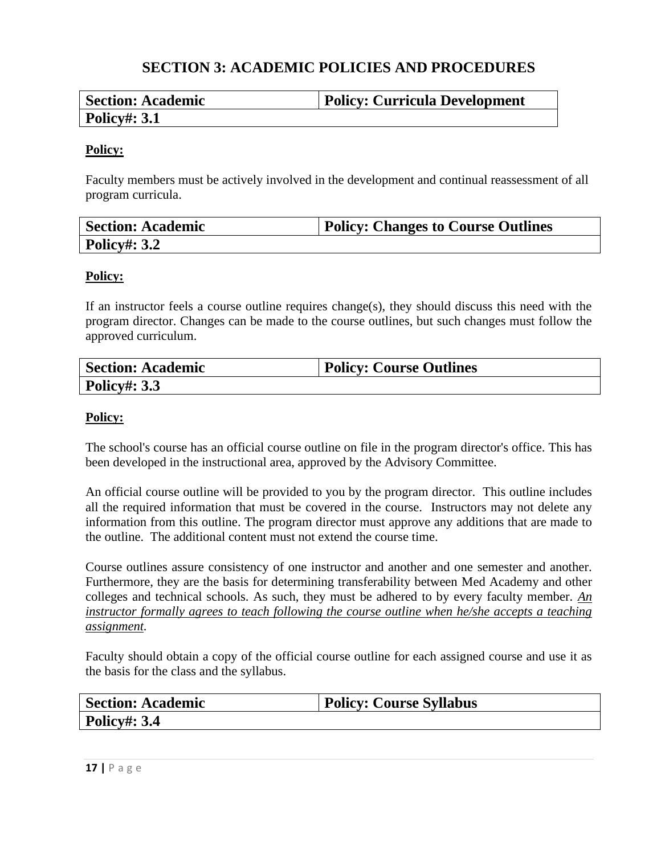# **SECTION 3: ACADEMIC POLICIES AND PROCEDURES**

| <b>Section: Academic</b> | Policy: Curricula Development |
|--------------------------|-------------------------------|
| Policy#: $3.1$           |                               |

#### **Policy:**

Faculty members must be actively involved in the development and continual reassessment of all program curricula.

| <b>Section: Academic</b> | Policy: Changes to Course Outlines |
|--------------------------|------------------------------------|
| <b>Policy#: 3.2</b>      |                                    |

#### **Policy:**

If an instructor feels a course outline requires change(s), they should discuss this need with the program director. Changes can be made to the course outlines, but such changes must follow the approved curriculum.

| <b>Section: Academic</b> | <b>Policy: Course Outlines</b> |
|--------------------------|--------------------------------|
| <b>Policy#: 3.3</b>      |                                |

#### **Policy:**

The school's course has an official course outline on file in the program director's office. This has been developed in the instructional area, approved by the Advisory Committee.

An official course outline will be provided to you by the program director. This outline includes all the required information that must be covered in the course. Instructors may not delete any information from this outline. The program director must approve any additions that are made to the outline. The additional content must not extend the course time.

Course outlines assure consistency of one instructor and another and one semester and another. Furthermore, they are the basis for determining transferability between Med Academy and other colleges and technical schools. As such, they must be adhered to by every faculty member. *An instructor formally agrees to teach following the course outline when he/she accepts a teaching assignment.* 

Faculty should obtain a copy of the official course outline for each assigned course and use it as the basis for the class and the syllabus.

| <b>Section: Academic</b> | <b>Policy: Course Syllabus</b> |
|--------------------------|--------------------------------|
| <b>Policy#: 3.4</b>      |                                |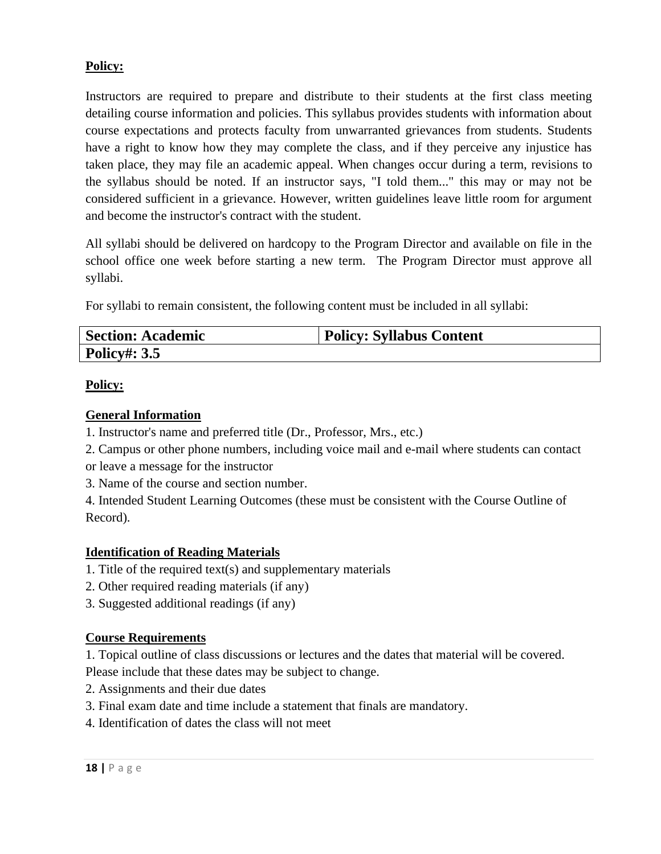Instructors are required to prepare and distribute to their students at the first class meeting detailing course information and policies. This syllabus provides students with information about course expectations and protects faculty from unwarranted grievances from students. Students have a right to know how they may complete the class, and if they perceive any injustice has taken place, they may file an academic appeal. When changes occur during a term, revisions to the syllabus should be noted. If an instructor says, "I told them..." this may or may not be considered sufficient in a grievance. However, written guidelines leave little room for argument and become the instructor's contract with the student.

All syllabi should be delivered on hardcopy to the Program Director and available on file in the school office one week before starting a new term. The Program Director must approve all syllabi.

For syllabi to remain consistent, the following content must be included in all syllabi:

| <b>Section: Academic</b> | <b>Policy: Syllabus Content</b> |
|--------------------------|---------------------------------|
| <b>Policy#: 3.5</b>      |                                 |

# **Policy:**

# **General Information**

1. Instructor's name and preferred title (Dr., Professor, Mrs., etc.)

- 2. Campus or other phone numbers, including voice mail and e-mail where students can contact or leave a message for the instructor
- 3. Name of the course and section number.
- 4. Intended Student Learning Outcomes (these must be consistent with the Course Outline of Record).

# **Identification of Reading Materials**

- 1. Title of the required text(s) and supplementary materials
- 2. Other required reading materials (if any)
- 3. Suggested additional readings (if any)

# **Course Requirements**

1. Topical outline of class discussions or lectures and the dates that material will be covered.

Please include that these dates may be subject to change.

- 2. Assignments and their due dates
- 3. Final exam date and time include a statement that finals are mandatory.
- 4. Identification of dates the class will not meet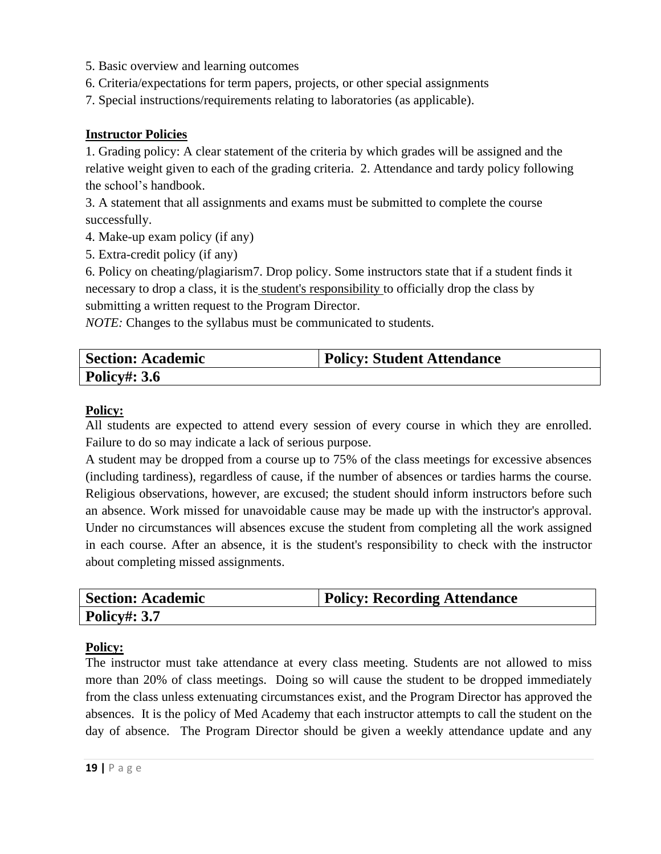- 5. Basic overview and learning outcomes
- 6. Criteria/expectations for term papers, projects, or other special assignments
- 7. Special instructions/requirements relating to laboratories (as applicable).

#### **Instructor Policies**

1. Grading policy: A clear statement of the criteria by which grades will be assigned and the relative weight given to each of the grading criteria. 2. Attendance and tardy policy following the school's handbook.

3. A statement that all assignments and exams must be submitted to complete the course successfully.

4. Make-up exam policy (if any)

5. Extra-credit policy (if any)

6. Policy on cheating/plagiarism7. Drop policy. Some instructors state that if a student finds it necessary to drop a class, it is the student's responsibility to officially drop the class by submitting a written request to the Program Director.

*NOTE:* Changes to the syllabus must be communicated to students.

| <b>Section: Academic</b> | <b>Policy: Student Attendance</b> |
|--------------------------|-----------------------------------|
| <b>Policy#: 3.6</b>      |                                   |

#### **Policy:**

All students are expected to attend every session of every course in which they are enrolled. Failure to do so may indicate a lack of serious purpose.

A student may be dropped from a course up to 75% of the class meetings for excessive absences (including tardiness), regardless of cause, if the number of absences or tardies harms the course. Religious observations, however, are excused; the student should inform instructors before such an absence. Work missed for unavoidable cause may be made up with the instructor's approval. Under no circumstances will absences excuse the student from completing all the work assigned in each course. After an absence, it is the student's responsibility to check with the instructor about completing missed assignments.

| <b>Section: Academic</b> | <b>Policy: Recording Attendance</b> |
|--------------------------|-------------------------------------|
| <b>Policy#: 3.7</b>      |                                     |

# **Policy:**

The instructor must take attendance at every class meeting. Students are not allowed to miss more than 20% of class meetings. Doing so will cause the student to be dropped immediately from the class unless extenuating circumstances exist, and the Program Director has approved the absences. It is the policy of Med Academy that each instructor attempts to call the student on the day of absence. The Program Director should be given a weekly attendance update and any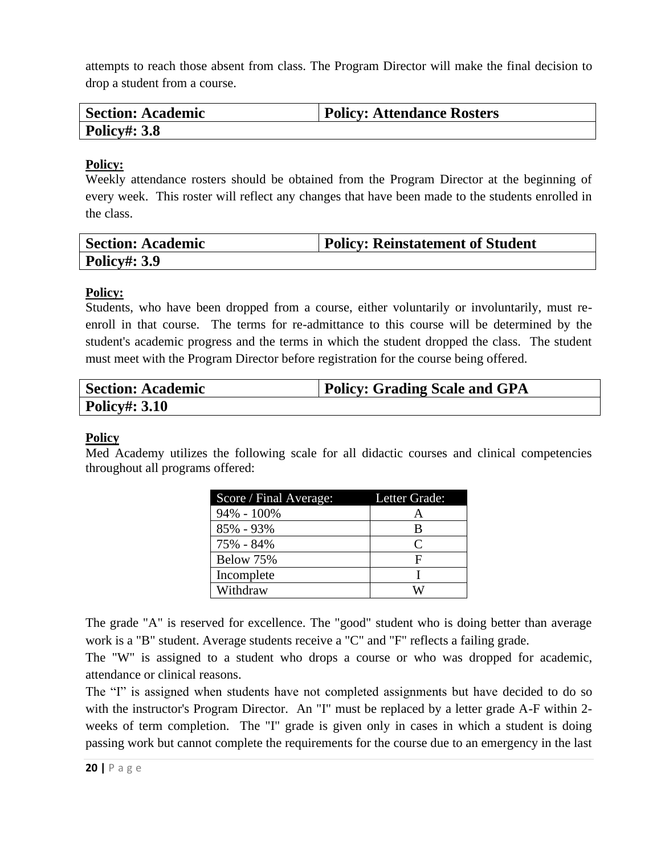attempts to reach those absent from class. The Program Director will make the final decision to drop a student from a course.

| <b>Section: Academic</b> | <b>Policy: Attendance Rosters</b> |
|--------------------------|-----------------------------------|
| <b>Policy#: 3.8</b>      |                                   |

#### **Policy:**

Weekly attendance rosters should be obtained from the Program Director at the beginning of every week. This roster will reflect any changes that have been made to the students enrolled in the class.

| <b>Section: Academic</b> | <b>Policy: Reinstatement of Student</b> |
|--------------------------|-----------------------------------------|
| <b>Policy#: 3.9</b>      |                                         |

#### **Policy:**

Students, who have been dropped from a course, either voluntarily or involuntarily, must reenroll in that course. The terms for re-admittance to this course will be determined by the student's academic progress and the terms in which the student dropped the class. The student must meet with the Program Director before registration for the course being offered.

| <b>Section: Academic</b> | <b>Policy: Grading Scale and GPA</b> |
|--------------------------|--------------------------------------|
| <b>Policy#: 3.10</b>     |                                      |

#### **Policy**

Med Academy utilizes the following scale for all didactic courses and clinical competencies throughout all programs offered:

| Score / Final Average: | Letter Grade: |
|------------------------|---------------|
| 94% - 100%             | А             |
| 85% - 93%              | В             |
| 75% - 84%              | C             |
| Below 75%              | F             |
| Incomplete             |               |
| Withdraw               |               |

The grade "A" is reserved for excellence. The "good" student who is doing better than average work is a "B" student. Average students receive a "C" and "F" reflects a failing grade.

The "W" is assigned to a student who drops a course or who was dropped for academic, attendance or clinical reasons.

The "I" is assigned when students have not completed assignments but have decided to do so with the instructor's Program Director. An "I" must be replaced by a letter grade A-F within 2weeks of term completion. The "I" grade is given only in cases in which a student is doing passing work but cannot complete the requirements for the course due to an emergency in the last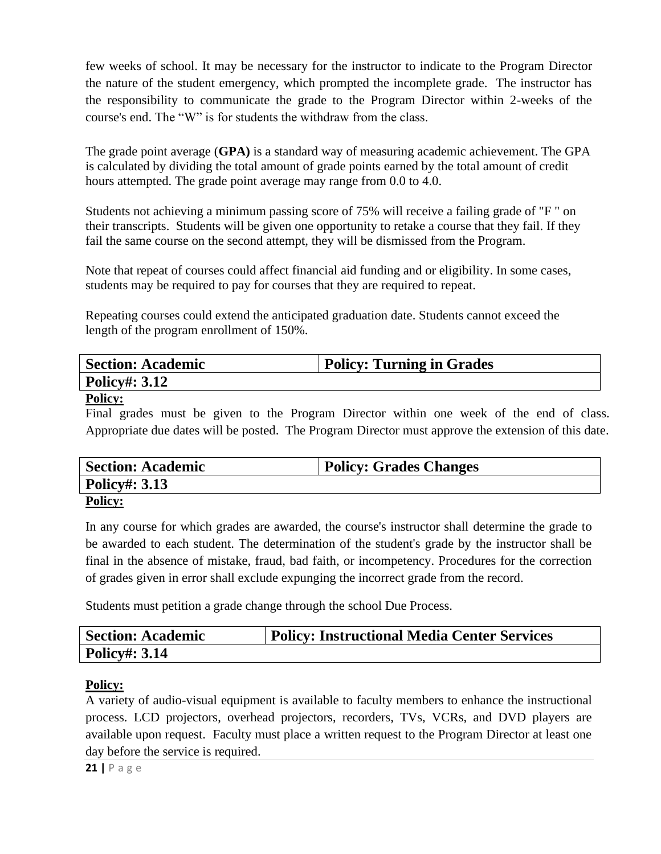few weeks of school. It may be necessary for the instructor to indicate to the Program Director the nature of the student emergency, which prompted the incomplete grade. The instructor has the responsibility to communicate the grade to the Program Director within 2-weeks of the course's end. The "W" is for students the withdraw from the class.

The grade point average (**GPA)** is a standard way of measuring academic achievement. The GPA is calculated by dividing the total amount of grade points earned by the total amount of credit hours attempted. The grade point average may range from 0.0 to 4.0.

Students not achieving a minimum passing score of 75% will receive a failing grade of "F " on their transcripts. Students will be given one opportunity to retake a course that they fail. If they fail the same course on the second attempt, they will be dismissed from the Program.

Note that repeat of courses could affect financial aid funding and or eligibility. In some cases, students may be required to pay for courses that they are required to repeat.

Repeating courses could extend the anticipated graduation date. Students cannot exceed the length of the program enrollment of 150%.

| <b>Section: Academic</b> | <b>Policy: Turning in Grades</b> |
|--------------------------|----------------------------------|
| <b>Policy#: 3.12</b>     |                                  |
| $\sim$ $\sim$            |                                  |

# **Policy:**

Final grades must be given to the Program Director within one week of the end of class. Appropriate due dates will be posted. The Program Director must approve the extension of this date.

| <b>Section: Academic</b> | <b>Policy: Grades Changes</b> |
|--------------------------|-------------------------------|
| <b>Policy#: 3.13</b>     |                               |
| <b>Policy:</b>           |                               |

In any course for which grades are awarded, the course's instructor shall determine the grade to be awarded to each student. The determination of the student's grade by the instructor shall be final in the absence of mistake, fraud, bad faith, or incompetency. Procedures for the correction of grades given in error shall exclude expunging the incorrect grade from the record.

Students must petition a grade change through the school Due Process.

| <b>Section: Academic</b> | <b>Policy: Instructional Media Center Services</b> |
|--------------------------|----------------------------------------------------|
| <b>Policy#: 3.14</b>     |                                                    |

# **Policy:**

A variety of audio-visual equipment is available to faculty members to enhance the instructional process. LCD projectors, overhead projectors, recorders, TVs, VCRs, and DVD players are available upon request. Faculty must place a written request to the Program Director at least one day before the service is required.

**21 |** P a g e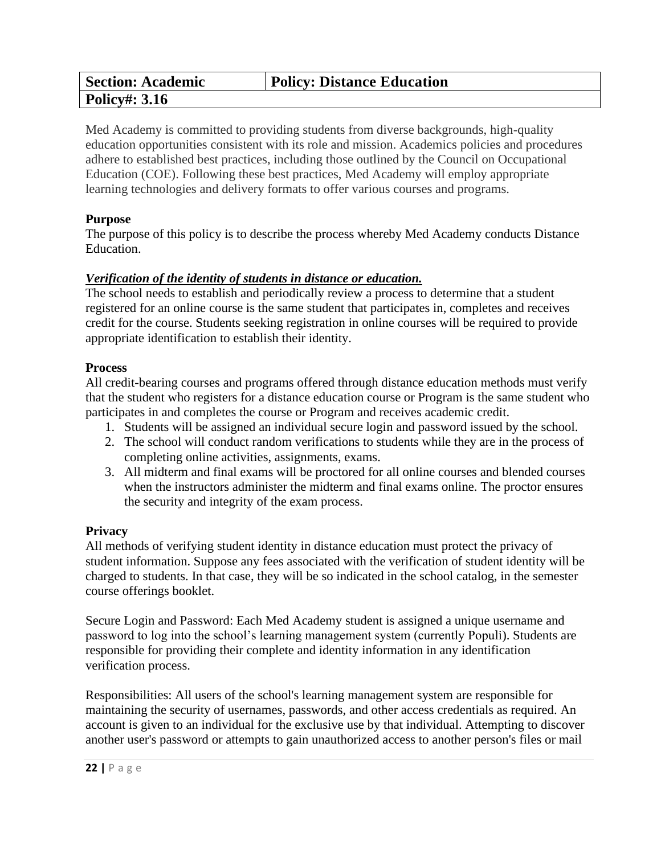| <b>Section: Academic</b> | <b>Policy: Distance Education</b> |
|--------------------------|-----------------------------------|
| <b>Policy#: 3.16</b>     |                                   |

Med Academy is committed to providing students from diverse backgrounds, high-quality education opportunities consistent with its role and mission. Academics policies and procedures adhere to established best practices, including those outlined by the Council on Occupational Education (COE). Following these best practices, Med Academy will employ appropriate learning technologies and delivery formats to offer various courses and programs.

# **Purpose**

The purpose of this policy is to describe the process whereby Med Academy conducts Distance Education.

# *Verification of the identity of students in distance or education.*

The school needs to establish and periodically review a process to determine that a student registered for an online course is the same student that participates in, completes and receives credit for the course. Students seeking registration in online courses will be required to provide appropriate identification to establish their identity.

# **Process**

All credit-bearing courses and programs offered through distance education methods must verify that the student who registers for a distance education course or Program is the same student who participates in and completes the course or Program and receives academic credit.

- 1. Students will be assigned an individual secure login and password issued by the school.
- 2. The school will conduct random verifications to students while they are in the process of completing online activities, assignments, exams.
- 3. All midterm and final exams will be proctored for all online courses and blended courses when the instructors administer the midterm and final exams online. The proctor ensures the security and integrity of the exam process.

# **Privacy**

All methods of verifying student identity in distance education must protect the privacy of student information. Suppose any fees associated with the verification of student identity will be charged to students. In that case, they will be so indicated in the school catalog, in the semester course offerings booklet.

Secure Login and Password: Each Med Academy student is assigned a unique username and password to log into the school's learning management system (currently Populi). Students are responsible for providing their complete and identity information in any identification verification process.

Responsibilities: All users of the school's learning management system are responsible for maintaining the security of usernames, passwords, and other access credentials as required. An account is given to an individual for the exclusive use by that individual. Attempting to discover another user's password or attempts to gain unauthorized access to another person's files or mail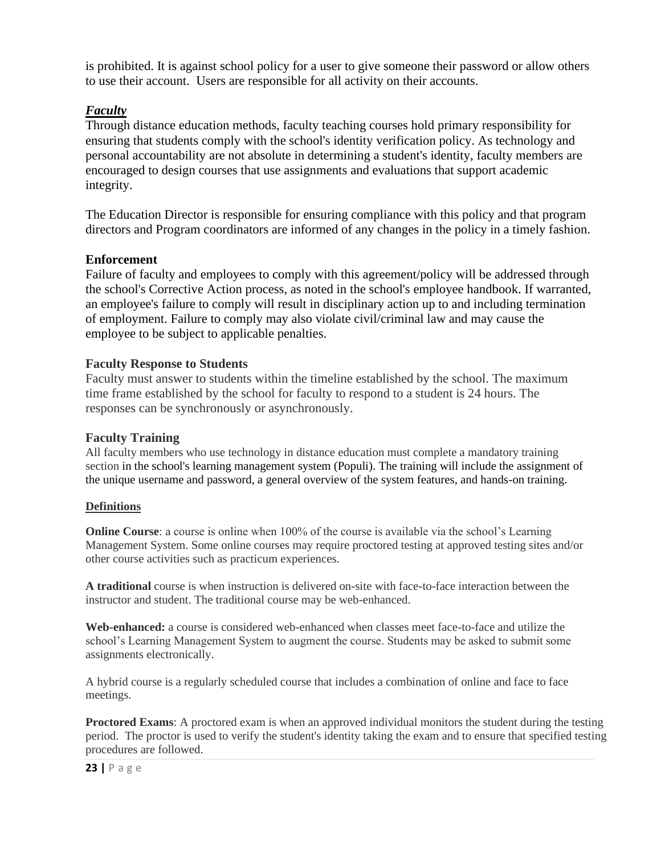is prohibited. It is against school policy for a user to give someone their password or allow others to use their account. Users are responsible for all activity on their accounts.

# *Faculty*

Through distance education methods, faculty teaching courses hold primary responsibility for ensuring that students comply with the school's identity verification policy. As technology and personal accountability are not absolute in determining a student's identity, faculty members are encouraged to design courses that use assignments and evaluations that support academic integrity.

The Education Director is responsible for ensuring compliance with this policy and that program directors and Program coordinators are informed of any changes in the policy in a timely fashion.

# **Enforcement**

Failure of faculty and employees to comply with this agreement/policy will be addressed through the school's Corrective Action process, as noted in the school's employee handbook. If warranted, an employee's failure to comply will result in disciplinary action up to and including termination of employment. Failure to comply may also violate civil/criminal law and may cause the employee to be subject to applicable penalties.

#### **Faculty Response to Students**

Faculty must answer to students within the timeline established by the school. The maximum time frame established by the school for faculty to respond to a student is 24 hours. The responses can be synchronously or asynchronously.

# **Faculty Training**

All faculty members who use technology in distance education must complete a mandatory training section in the school's learning management system (Populi). The training will include the assignment of the unique username and password, a general overview of the system features, and hands-on training.

#### **Definitions**

**Online Course**: a course is online when 100% of the course is available via the school's Learning Management System. Some online courses may require proctored testing at approved testing sites and/or other course activities such as practicum experiences.

**A traditional** course is when instruction is delivered on-site with face-to-face interaction between the instructor and student. The traditional course may be web-enhanced.

**Web-enhanced:** a course is considered web-enhanced when classes meet face-to-face and utilize the school's Learning Management System to augment the course. Students may be asked to submit some assignments electronically.

A hybrid course is a regularly scheduled course that includes a combination of online and face to face meetings.

**Proctored Exams:** A proctored exam is when an approved individual monitors the student during the testing period. The proctor is used to verify the student's identity taking the exam and to ensure that specified testing procedures are followed.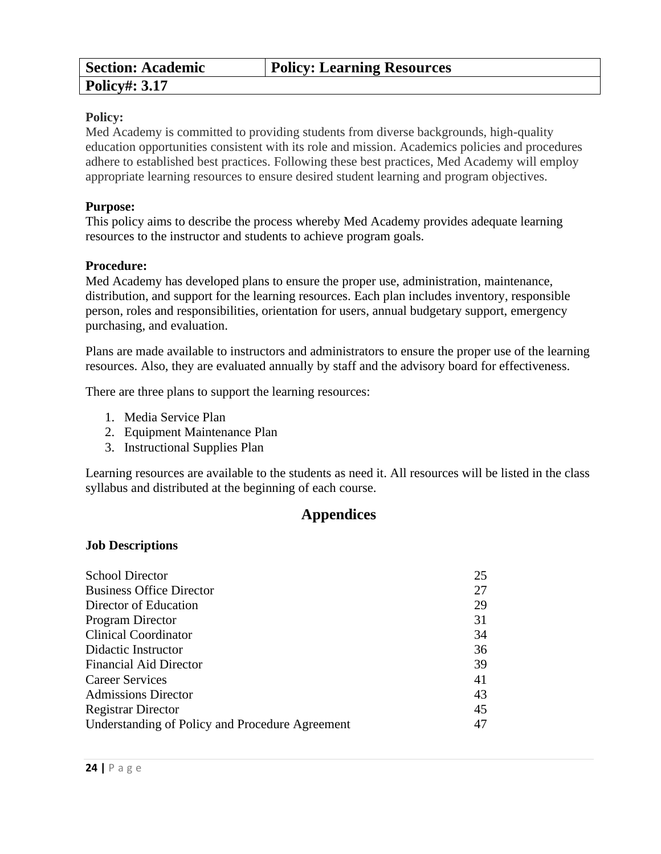| <b>Section: Academic</b> | <b>Policy: Learning Resources</b> |
|--------------------------|-----------------------------------|
| <b>Policy#: 3.17</b>     |                                   |

Med Academy is committed to providing students from diverse backgrounds, high-quality education opportunities consistent with its role and mission. Academics policies and procedures adhere to established best practices. Following these best practices, Med Academy will employ appropriate learning resources to ensure desired student learning and program objectives.

#### **Purpose:**

This policy aims to describe the process whereby Med Academy provides adequate learning resources to the instructor and students to achieve program goals.

#### **Procedure:**

Med Academy has developed plans to ensure the proper use, administration, maintenance, distribution, and support for the learning resources. Each plan includes inventory, responsible person, roles and responsibilities, orientation for users, annual budgetary support, emergency purchasing, and evaluation.

Plans are made available to instructors and administrators to ensure the proper use of the learning resources. Also, they are evaluated annually by staff and the advisory board for effectiveness.

There are three plans to support the learning resources:

- 1. Media Service Plan
- 2. Equipment Maintenance Plan
- 3. Instructional Supplies Plan

Learning resources are available to the students as need it. All resources will be listed in the class syllabus and distributed at the beginning of each course.

# **Appendices**

#### **Job Descriptions**

| <b>School Director</b>                          | 25 |
|-------------------------------------------------|----|
| <b>Business Office Director</b>                 | 27 |
| Director of Education                           | 29 |
| Program Director                                | 31 |
| <b>Clinical Coordinator</b>                     | 34 |
| Didactic Instructor                             | 36 |
| <b>Financial Aid Director</b>                   | 39 |
| <b>Career Services</b>                          | 41 |
| <b>Admissions Director</b>                      | 43 |
| <b>Registrar Director</b>                       | 45 |
| Understanding of Policy and Procedure Agreement | 47 |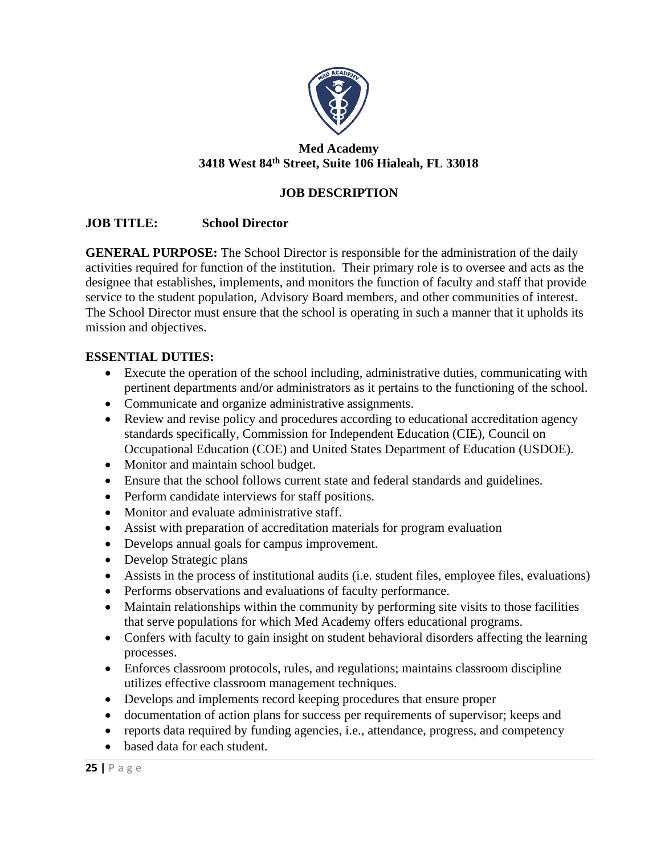

# **Med Academy 3418 West 84th Street, Suite 106 Hialeah, FL 33018**

# **JOB DESCRIPTION**

# **JOB TITLE: School Director**

**GENERAL PURPOSE:** The School Director is responsible for the administration of the daily activities required for function of the institution. Their primary role is to oversee and acts as the designee that establishes, implements, and monitors the function of faculty and staff that provide service to the student population, Advisory Board members, and other communities of interest. The School Director must ensure that the school is operating in such a manner that it upholds its mission and objectives.

# **ESSENTIAL DUTIES:**

- Execute the operation of the school including, administrative duties, communicating with pertinent departments and/or administrators as it pertains to the functioning of the school.
- Communicate and organize administrative assignments.
- Review and revise policy and procedures according to educational accreditation agency standards specifically, Commission for Independent Education (CIE), Council on Occupational Education (COE) and United States Department of Education (USDOE).
- Monitor and maintain school budget.
- Ensure that the school follows current state and federal standards and guidelines.
- Perform candidate interviews for staff positions.
- Monitor and evaluate administrative staff.
- Assist with preparation of accreditation materials for program evaluation
- Develops annual goals for campus improvement.
- Develop Strategic plans
- Assists in the process of institutional audits (i.e. student files, employee files, evaluations)
- Performs observations and evaluations of faculty performance.
- Maintain relationships within the community by performing site visits to those facilities that serve populations for which Med Academy offers educational programs.
- Confers with faculty to gain insight on student behavioral disorders affecting the learning processes.
- Enforces classroom protocols, rules, and regulations; maintains classroom discipline utilizes effective classroom management techniques.
- Develops and implements record keeping procedures that ensure proper
- documentation of action plans for success per requirements of supervisor; keeps and
- reports data required by funding agencies, i.e., attendance, progress, and competency
- based data for each student.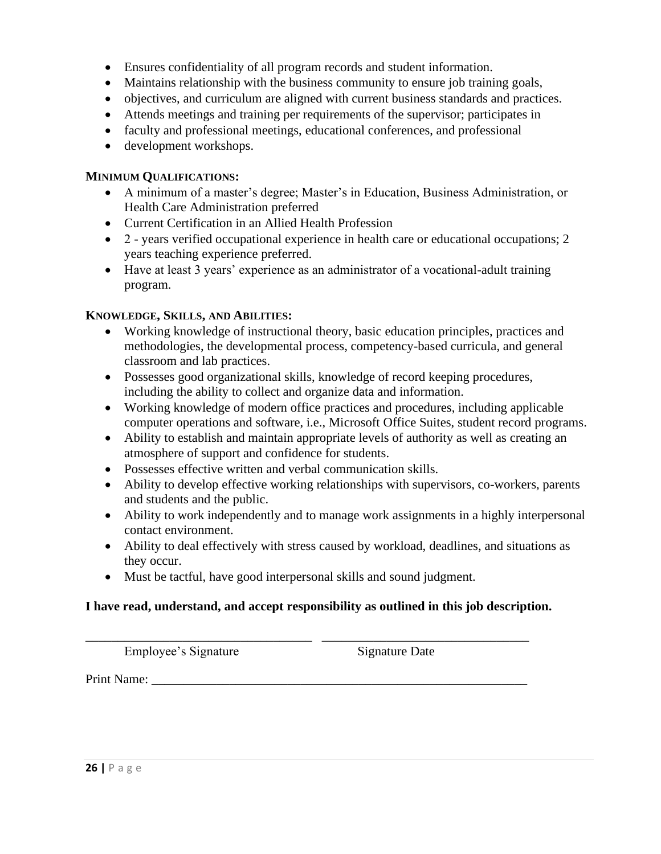- Ensures confidentiality of all program records and student information.
- Maintains relationship with the business community to ensure job training goals,
- objectives, and curriculum are aligned with current business standards and practices.
- Attends meetings and training per requirements of the supervisor; participates in
- faculty and professional meetings, educational conferences, and professional
- development workshops.

# **MINIMUM QUALIFICATIONS:**

- A minimum of a master's degree; Master's in Education, Business Administration, or Health Care Administration preferred
- Current Certification in an Allied Health Profession
- 2 years verified occupational experience in health care or educational occupations;  $2$ years teaching experience preferred.
- Have at least 3 years' experience as an administrator of a vocational-adult training program.

# **KNOWLEDGE, SKILLS, AND ABILITIES:**

- Working knowledge of instructional theory, basic education principles, practices and methodologies, the developmental process, competency-based curricula, and general classroom and lab practices.
- Possesses good organizational skills, knowledge of record keeping procedures, including the ability to collect and organize data and information.
- Working knowledge of modern office practices and procedures, including applicable computer operations and software, i.e., Microsoft Office Suites, student record programs.
- Ability to establish and maintain appropriate levels of authority as well as creating an atmosphere of support and confidence for students.
- Possesses effective written and verbal communication skills.
- Ability to develop effective working relationships with supervisors, co-workers, parents and students and the public.
- Ability to work independently and to manage work assignments in a highly interpersonal contact environment.
- Ability to deal effectively with stress caused by workload, deadlines, and situations as they occur.
- Must be tactful, have good interpersonal skills and sound judgment.

# **I have read, understand, and accept responsibility as outlined in this job description.**

\_\_\_\_\_\_\_\_\_\_\_\_\_\_\_\_\_\_\_\_\_\_\_\_\_\_\_\_\_\_\_\_\_\_\_ \_\_\_\_\_\_\_\_\_\_\_\_\_\_\_\_\_\_\_\_\_\_\_\_\_\_\_\_\_\_\_\_ Employee's Signature Signature Date

Print Name: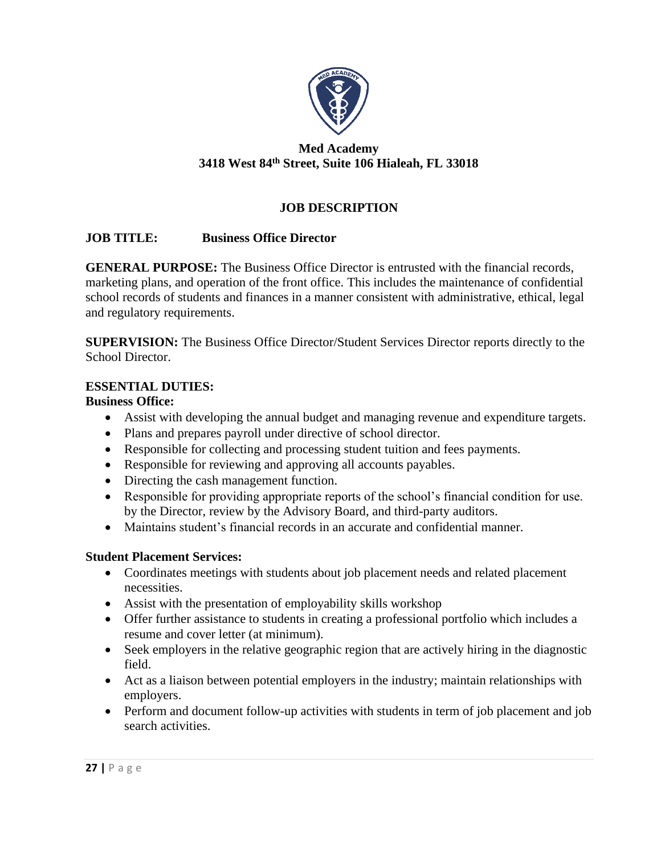

# **Med Academy 3418 West 84th Street, Suite 106 Hialeah, FL 33018**

# **JOB DESCRIPTION**

# **JOB TITLE: Business Office Director**

**GENERAL PURPOSE:** The Business Office Director is entrusted with the financial records, marketing plans, and operation of the front office. This includes the maintenance of confidential school records of students and finances in a manner consistent with administrative, ethical, legal and regulatory requirements.

**SUPERVISION:** The Business Office Director/Student Services Director reports directly to the School Director.

#### **ESSENTIAL DUTIES:**

#### **Business Office:**

- Assist with developing the annual budget and managing revenue and expenditure targets.
- Plans and prepares payroll under directive of school director.
- Responsible for collecting and processing student tuition and fees payments.
- Responsible for reviewing and approving all accounts payables.
- Directing the cash management function.
- Responsible for providing appropriate reports of the school's financial condition for use. by the Director, review by the Advisory Board, and third-party auditors.
- Maintains student's financial records in an accurate and confidential manner.

# **Student Placement Services:**

- Coordinates meetings with students about job placement needs and related placement necessities.
- Assist with the presentation of employability skills workshop
- Offer further assistance to students in creating a professional portfolio which includes a resume and cover letter (at minimum).
- Seek employers in the relative geographic region that are actively hiring in the diagnostic field.
- Act as a liaison between potential employers in the industry; maintain relationships with employers.
- Perform and document follow-up activities with students in term of job placement and job search activities.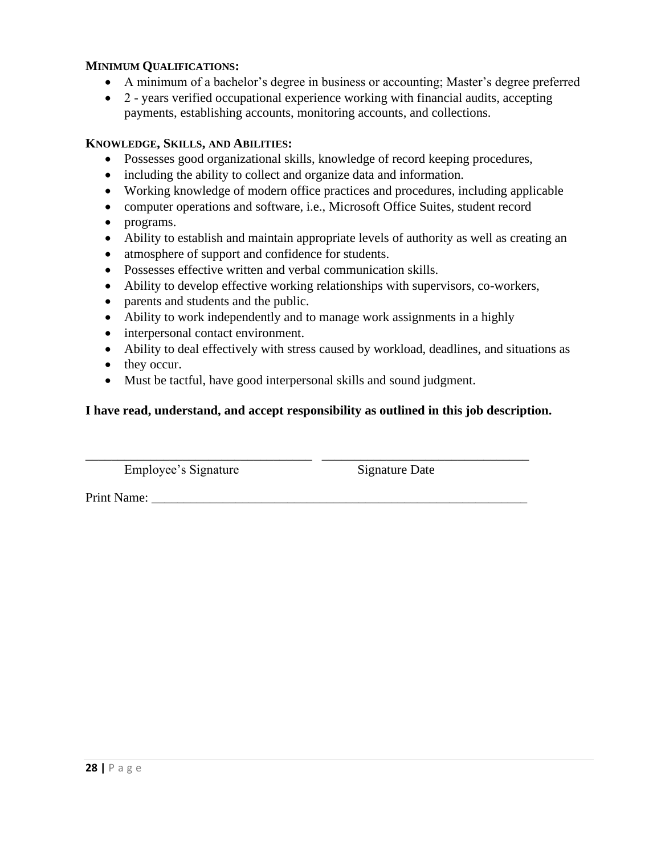## **MINIMUM QUALIFICATIONS:**

- A minimum of a bachelor's degree in business or accounting; Master's degree preferred
- $\bullet$  2 years verified occupational experience working with financial audits, accepting payments, establishing accounts, monitoring accounts, and collections.

# **KNOWLEDGE, SKILLS, AND ABILITIES:**

- Possesses good organizational skills, knowledge of record keeping procedures,
- including the ability to collect and organize data and information.
- Working knowledge of modern office practices and procedures, including applicable
- computer operations and software, i.e., Microsoft Office Suites, student record
- programs.
- Ability to establish and maintain appropriate levels of authority as well as creating an
- atmosphere of support and confidence for students.
- Possesses effective written and verbal communication skills.
- Ability to develop effective working relationships with supervisors, co-workers,
- parents and students and the public.
- Ability to work independently and to manage work assignments in a highly
- interpersonal contact environment.
- Ability to deal effectively with stress caused by workload, deadlines, and situations as
- they occur.
- Must be tactful, have good interpersonal skills and sound judgment.

#### **I have read, understand, and accept responsibility as outlined in this job description.**

\_\_\_\_\_\_\_\_\_\_\_\_\_\_\_\_\_\_\_\_\_\_\_\_\_\_\_\_\_\_\_\_\_\_\_ \_\_\_\_\_\_\_\_\_\_\_\_\_\_\_\_\_\_\_\_\_\_\_\_\_\_\_\_\_\_\_\_

Employee's Signature Signature Date

Print Name: \_\_\_\_\_\_\_\_\_\_\_\_\_\_\_\_\_\_\_\_\_\_\_\_\_\_\_\_\_\_\_\_\_\_\_\_\_\_\_\_\_\_\_\_\_\_\_\_\_\_\_\_\_\_\_\_\_\_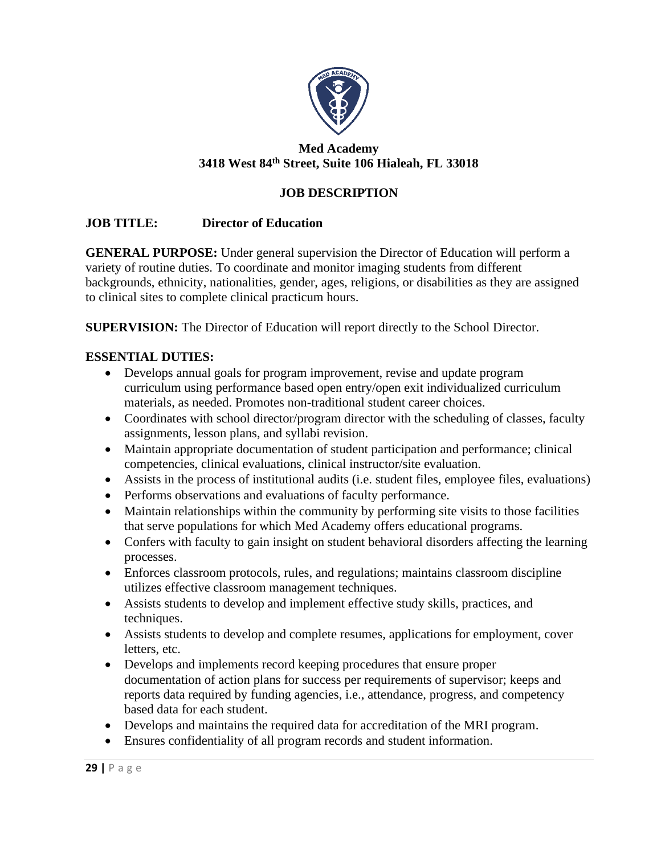

# **Med Academy 3418 West 84th Street, Suite 106 Hialeah, FL 33018**

# **JOB DESCRIPTION**

# **JOB TITLE: Director of Education**

**GENERAL PURPOSE:** Under general supervision the Director of Education will perform a variety of routine duties. To coordinate and monitor imaging students from different backgrounds, ethnicity, nationalities, gender, ages, religions, or disabilities as they are assigned to clinical sites to complete clinical practicum hours.

**SUPERVISION:** The Director of Education will report directly to the School Director.

# **ESSENTIAL DUTIES:**

- Develops annual goals for program improvement, revise and update program curriculum using performance based open entry/open exit individualized curriculum materials, as needed. Promotes non-traditional student career choices.
- Coordinates with school director/program director with the scheduling of classes, faculty assignments, lesson plans, and syllabi revision.
- Maintain appropriate documentation of student participation and performance; clinical competencies, clinical evaluations, clinical instructor/site evaluation.
- Assists in the process of institutional audits (i.e. student files, employee files, evaluations)
- Performs observations and evaluations of faculty performance.
- Maintain relationships within the community by performing site visits to those facilities that serve populations for which Med Academy offers educational programs.
- Confers with faculty to gain insight on student behavioral disorders affecting the learning processes.
- Enforces classroom protocols, rules, and regulations; maintains classroom discipline utilizes effective classroom management techniques.
- Assists students to develop and implement effective study skills, practices, and techniques.
- Assists students to develop and complete resumes, applications for employment, cover letters, etc.
- Develops and implements record keeping procedures that ensure proper documentation of action plans for success per requirements of supervisor; keeps and reports data required by funding agencies, i.e., attendance, progress, and competency based data for each student.
- Develops and maintains the required data for accreditation of the MRI program.
- Ensures confidentiality of all program records and student information.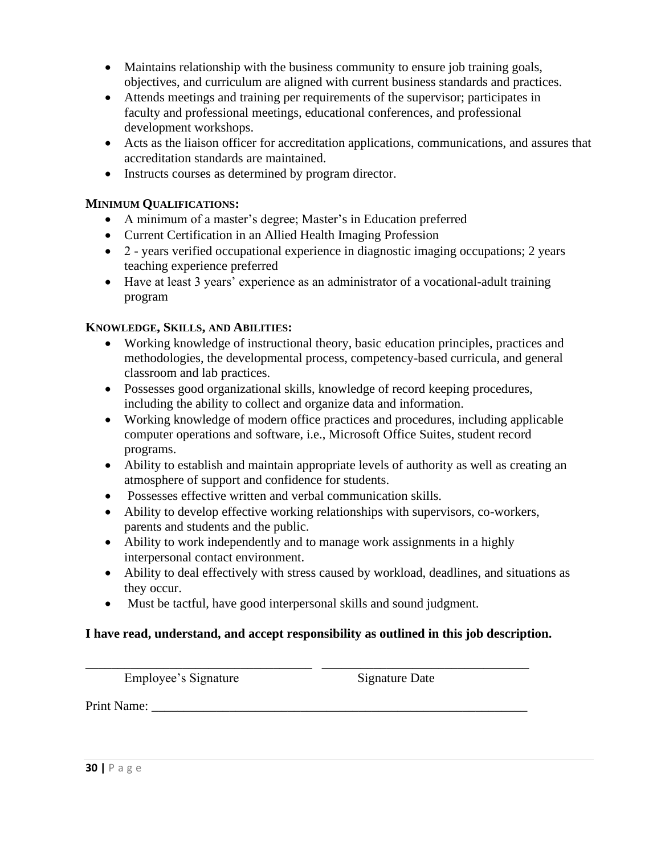- Maintains relationship with the business community to ensure job training goals, objectives, and curriculum are aligned with current business standards and practices.
- Attends meetings and training per requirements of the supervisor; participates in faculty and professional meetings, educational conferences, and professional development workshops.
- Acts as the liaison officer for accreditation applications, communications, and assures that accreditation standards are maintained.
- Instructs courses as determined by program director.

# **MINIMUM QUALIFICATIONS:**

- A minimum of a master's degree; Master's in Education preferred
- Current Certification in an Allied Health Imaging Profession
- $\bullet$  2 years verified occupational experience in diagnostic imaging occupations; 2 years teaching experience preferred
- Have at least 3 years' experience as an administrator of a vocational-adult training program

# **KNOWLEDGE, SKILLS, AND ABILITIES:**

- Working knowledge of instructional theory, basic education principles, practices and methodologies, the developmental process, competency-based curricula, and general classroom and lab practices.
- Possesses good organizational skills, knowledge of record keeping procedures, including the ability to collect and organize data and information.
- Working knowledge of modern office practices and procedures, including applicable computer operations and software, i.e., Microsoft Office Suites, student record programs.
- Ability to establish and maintain appropriate levels of authority as well as creating an atmosphere of support and confidence for students.
- Possesses effective written and verbal communication skills.
- Ability to develop effective working relationships with supervisors, co-workers, parents and students and the public.
- Ability to work independently and to manage work assignments in a highly interpersonal contact environment.
- Ability to deal effectively with stress caused by workload, deadlines, and situations as they occur.
- Must be tactful, have good interpersonal skills and sound judgment.

# **I have read, understand, and accept responsibility as outlined in this job description.**

\_\_\_\_\_\_\_\_\_\_\_\_\_\_\_\_\_\_\_\_\_\_\_\_\_\_\_\_\_\_\_\_\_\_\_ \_\_\_\_\_\_\_\_\_\_\_\_\_\_\_\_\_\_\_\_\_\_\_\_\_\_\_\_\_\_\_\_

Employee's Signature Signature Date

Print Name: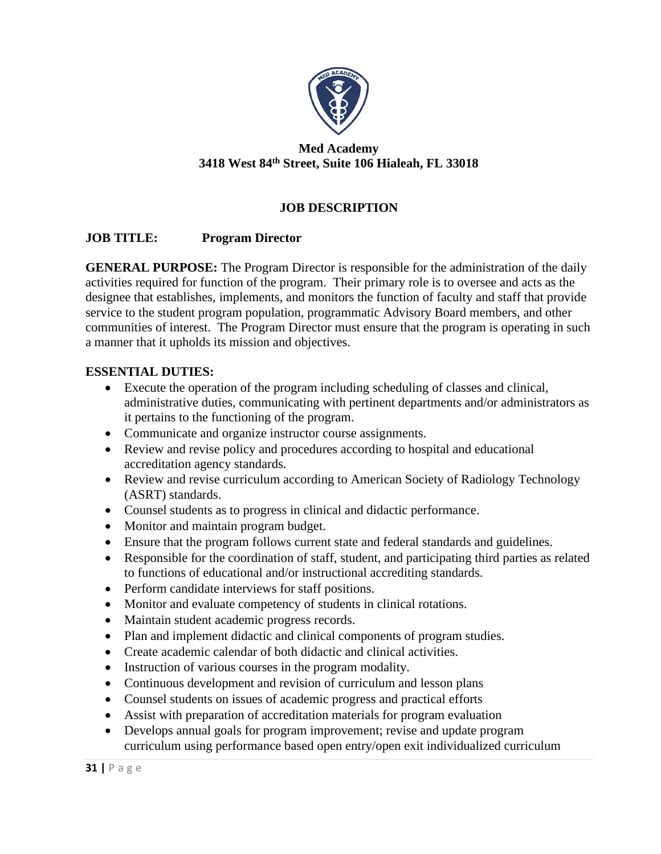

# **Med Academy 3418 West 84th Street, Suite 106 Hialeah, FL 33018**

# **JOB DESCRIPTION**

# **JOB TITLE: Program Director**

**GENERAL PURPOSE:** The Program Director is responsible for the administration of the daily activities required for function of the program. Their primary role is to oversee and acts as the designee that establishes, implements, and monitors the function of faculty and staff that provide service to the student program population, programmatic Advisory Board members, and other communities of interest. The Program Director must ensure that the program is operating in such a manner that it upholds its mission and objectives.

# **ESSENTIAL DUTIES:**

- Execute the operation of the program including scheduling of classes and clinical, administrative duties, communicating with pertinent departments and/or administrators as it pertains to the functioning of the program.
- Communicate and organize instructor course assignments.
- Review and revise policy and procedures according to hospital and educational accreditation agency standards.
- Review and revise curriculum according to American Society of Radiology Technology (ASRT) standards.
- Counsel students as to progress in clinical and didactic performance.
- Monitor and maintain program budget.
- Ensure that the program follows current state and federal standards and guidelines.
- Responsible for the coordination of staff, student, and participating third parties as related to functions of educational and/or instructional accrediting standards.
- Perform candidate interviews for staff positions.
- Monitor and evaluate competency of students in clinical rotations.
- Maintain student academic progress records.
- Plan and implement didactic and clinical components of program studies.
- Create academic calendar of both didactic and clinical activities.
- Instruction of various courses in the program modality.
- Continuous development and revision of curriculum and lesson plans
- Counsel students on issues of academic progress and practical efforts
- Assist with preparation of accreditation materials for program evaluation
- Develops annual goals for program improvement; revise and update program curriculum using performance based open entry/open exit individualized curriculum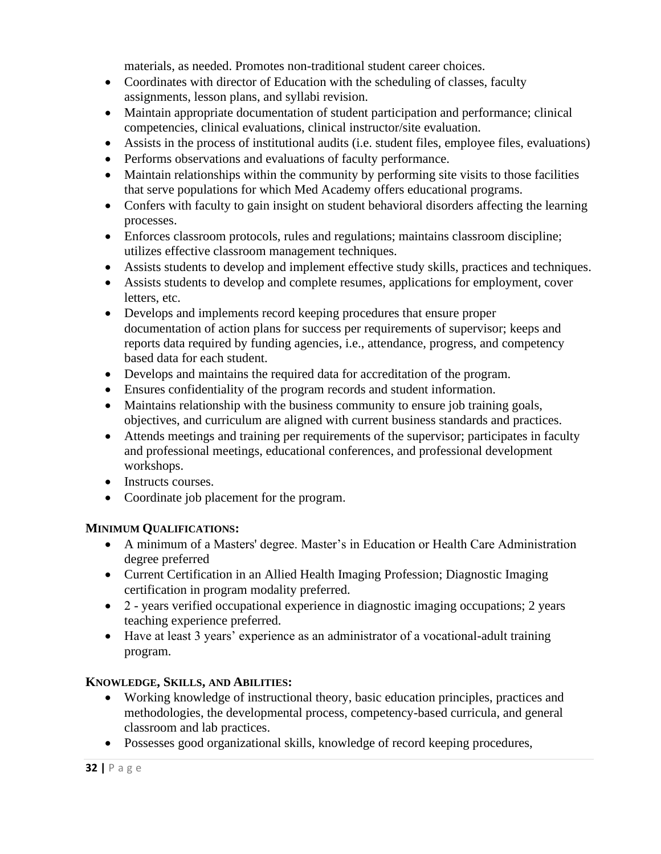materials, as needed. Promotes non-traditional student career choices.

- Coordinates with director of Education with the scheduling of classes, faculty assignments, lesson plans, and syllabi revision.
- Maintain appropriate documentation of student participation and performance; clinical competencies, clinical evaluations, clinical instructor/site evaluation.
- Assists in the process of institutional audits (i.e. student files, employee files, evaluations)
- Performs observations and evaluations of faculty performance.
- Maintain relationships within the community by performing site visits to those facilities that serve populations for which Med Academy offers educational programs.
- Confers with faculty to gain insight on student behavioral disorders affecting the learning processes.
- Enforces classroom protocols, rules and regulations; maintains classroom discipline; utilizes effective classroom management techniques.
- Assists students to develop and implement effective study skills, practices and techniques.
- Assists students to develop and complete resumes, applications for employment, cover letters, etc.
- Develops and implements record keeping procedures that ensure proper documentation of action plans for success per requirements of supervisor; keeps and reports data required by funding agencies, i.e., attendance, progress, and competency based data for each student.
- Develops and maintains the required data for accreditation of the program.
- Ensures confidentiality of the program records and student information.
- Maintains relationship with the business community to ensure job training goals, objectives, and curriculum are aligned with current business standards and practices.
- Attends meetings and training per requirements of the supervisor; participates in faculty and professional meetings, educational conferences, and professional development workshops.
- Instructs courses.
- Coordinate job placement for the program.

# **MINIMUM QUALIFICATIONS:**

- A minimum of a Masters' degree. Master's in Education or Health Care Administration degree preferred
- Current Certification in an Allied Health Imaging Profession; Diagnostic Imaging certification in program modality preferred.
- $\bullet$  2 years verified occupational experience in diagnostic imaging occupations; 2 years teaching experience preferred.
- Have at least 3 years' experience as an administrator of a vocational-adult training program.

# **KNOWLEDGE, SKILLS, AND ABILITIES:**

- Working knowledge of instructional theory, basic education principles, practices and methodologies, the developmental process, competency-based curricula, and general classroom and lab practices.
- Possesses good organizational skills, knowledge of record keeping procedures,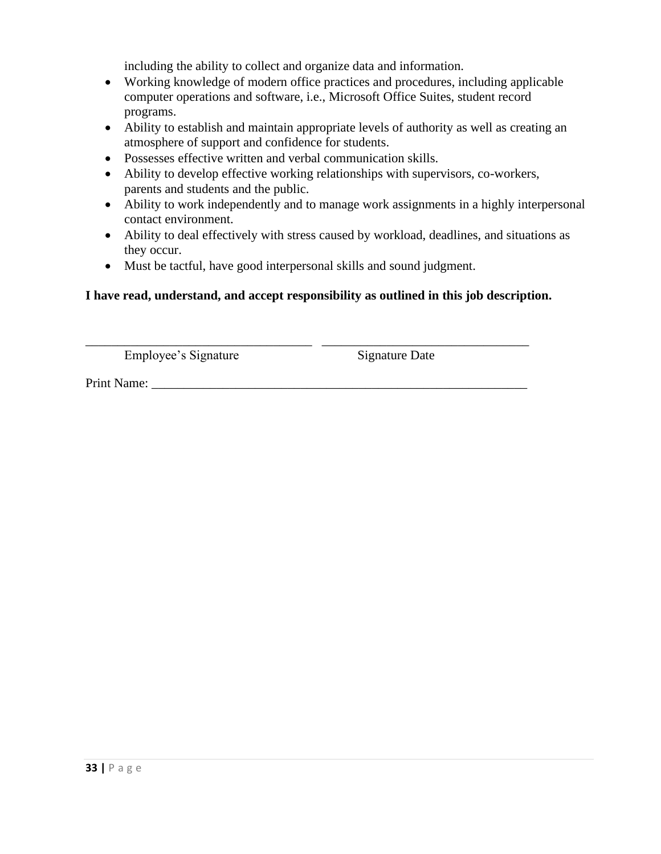including the ability to collect and organize data and information.

- Working knowledge of modern office practices and procedures, including applicable computer operations and software, i.e., Microsoft Office Suites, student record programs.
- Ability to establish and maintain appropriate levels of authority as well as creating an atmosphere of support and confidence for students.
- Possesses effective written and verbal communication skills.
- Ability to develop effective working relationships with supervisors, co-workers, parents and students and the public.
- Ability to work independently and to manage work assignments in a highly interpersonal contact environment.
- Ability to deal effectively with stress caused by workload, deadlines, and situations as they occur.
- Must be tactful, have good interpersonal skills and sound judgment.

# **I have read, understand, and accept responsibility as outlined in this job description.**

\_\_\_\_\_\_\_\_\_\_\_\_\_\_\_\_\_\_\_\_\_\_\_\_\_\_\_\_\_\_\_\_\_\_\_ \_\_\_\_\_\_\_\_\_\_\_\_\_\_\_\_\_\_\_\_\_\_\_\_\_\_\_\_\_\_\_\_

Employee's Signature Signature Signature Date

Print Name: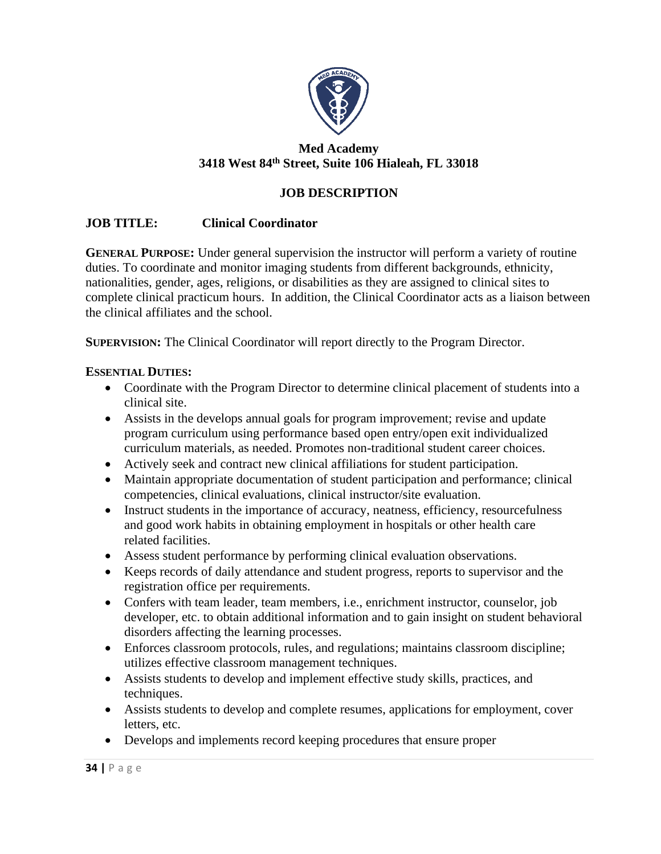

# **Med Academy 3418 West 84th Street, Suite 106 Hialeah, FL 33018**

# **JOB DESCRIPTION**

# **JOB TITLE: Clinical Coordinator**

**GENERAL PURPOSE:** Under general supervision the instructor will perform a variety of routine duties. To coordinate and monitor imaging students from different backgrounds, ethnicity, nationalities, gender, ages, religions, or disabilities as they are assigned to clinical sites to complete clinical practicum hours. In addition, the Clinical Coordinator acts as a liaison between the clinical affiliates and the school.

**SUPERVISION:** The Clinical Coordinator will report directly to the Program Director.

# **ESSENTIAL DUTIES:**

- Coordinate with the Program Director to determine clinical placement of students into a clinical site.
- Assists in the develops annual goals for program improvement; revise and update program curriculum using performance based open entry/open exit individualized curriculum materials, as needed. Promotes non-traditional student career choices.
- Actively seek and contract new clinical affiliations for student participation.
- Maintain appropriate documentation of student participation and performance; clinical competencies, clinical evaluations, clinical instructor/site evaluation.
- Instruct students in the importance of accuracy, neatness, efficiency, resourcefulness and good work habits in obtaining employment in hospitals or other health care related facilities.
- Assess student performance by performing clinical evaluation observations.
- Keeps records of daily attendance and student progress, reports to supervisor and the registration office per requirements.
- Confers with team leader, team members, i.e., enrichment instructor, counselor, job developer, etc. to obtain additional information and to gain insight on student behavioral disorders affecting the learning processes.
- Enforces classroom protocols, rules, and regulations; maintains classroom discipline; utilizes effective classroom management techniques.
- Assists students to develop and implement effective study skills, practices, and techniques.
- Assists students to develop and complete resumes, applications for employment, cover letters, etc.
- Develops and implements record keeping procedures that ensure proper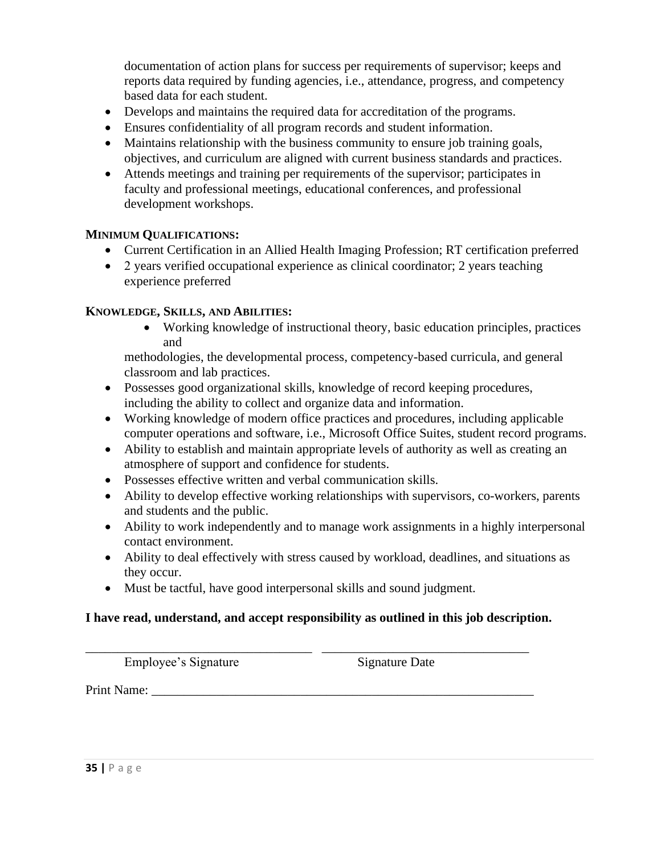documentation of action plans for success per requirements of supervisor; keeps and reports data required by funding agencies, i.e., attendance, progress, and competency based data for each student.

- Develops and maintains the required data for accreditation of the programs.
- Ensures confidentiality of all program records and student information.
- Maintains relationship with the business community to ensure job training goals, objectives, and curriculum are aligned with current business standards and practices.
- Attends meetings and training per requirements of the supervisor; participates in faculty and professional meetings, educational conferences, and professional development workshops.

# **MINIMUM QUALIFICATIONS:**

- Current Certification in an Allied Health Imaging Profession; RT certification preferred
- $\bullet$  2 years verified occupational experience as clinical coordinator; 2 years teaching experience preferred

# **KNOWLEDGE, SKILLS, AND ABILITIES:**

• Working knowledge of instructional theory, basic education principles, practices and

methodologies, the developmental process, competency-based curricula, and general classroom and lab practices.

- Possesses good organizational skills, knowledge of record keeping procedures, including the ability to collect and organize data and information.
- Working knowledge of modern office practices and procedures, including applicable computer operations and software, i.e., Microsoft Office Suites, student record programs.
- Ability to establish and maintain appropriate levels of authority as well as creating an atmosphere of support and confidence for students.
- Possesses effective written and verbal communication skills.
- Ability to develop effective working relationships with supervisors, co-workers, parents and students and the public.
- Ability to work independently and to manage work assignments in a highly interpersonal contact environment.
- Ability to deal effectively with stress caused by workload, deadlines, and situations as they occur.
- Must be tactful, have good interpersonal skills and sound judgment.

# **I have read, understand, and accept responsibility as outlined in this job description.**

\_\_\_\_\_\_\_\_\_\_\_\_\_\_\_\_\_\_\_\_\_\_\_\_\_\_\_\_\_\_\_\_\_\_\_ \_\_\_\_\_\_\_\_\_\_\_\_\_\_\_\_\_\_\_\_\_\_\_\_\_\_\_\_\_\_\_\_

Employee's Signature Signature Date

Print Name: \_\_\_\_\_\_\_\_\_\_\_\_\_\_\_\_\_\_\_\_\_\_\_\_\_\_\_\_\_\_\_\_\_\_\_\_\_\_\_\_\_\_\_\_\_\_\_\_\_\_\_\_\_\_\_\_\_\_\_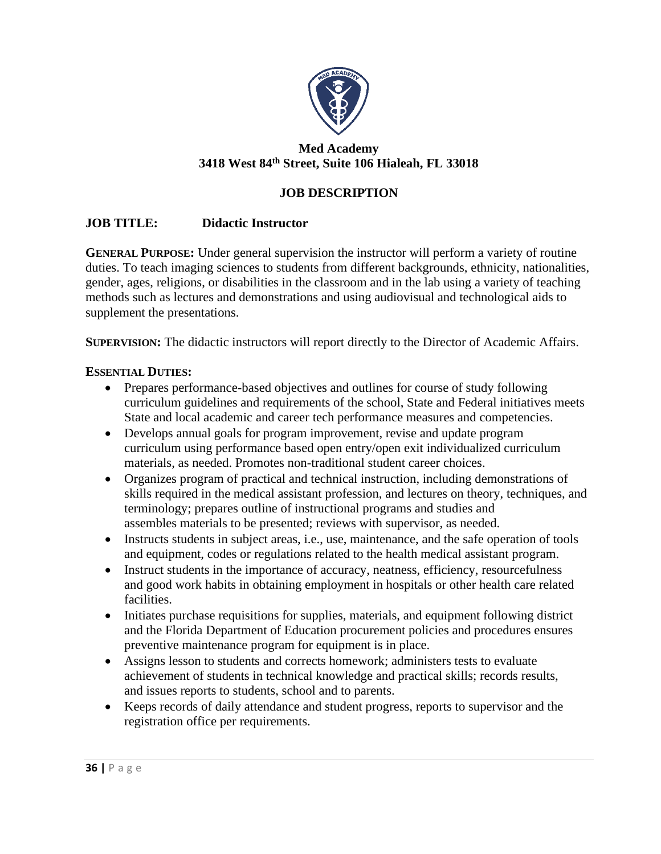

# **Med Academy 3418 West 84th Street, Suite 106 Hialeah, FL 33018**

# **JOB DESCRIPTION**

# **JOB TITLE: Didactic Instructor**

**GENERAL PURPOSE:** Under general supervision the instructor will perform a variety of routine duties. To teach imaging sciences to students from different backgrounds, ethnicity, nationalities, gender, ages, religions, or disabilities in the classroom and in the lab using a variety of teaching methods such as lectures and demonstrations and using audiovisual and technological aids to supplement the presentations.

**SUPERVISION:** The didactic instructors will report directly to the Director of Academic Affairs.

#### **ESSENTIAL DUTIES:**

- Prepares performance-based objectives and outlines for course of study following curriculum guidelines and requirements of the school, State and Federal initiatives meets State and local academic and career tech performance measures and competencies.
- Develops annual goals for program improvement, revise and update program curriculum using performance based open entry/open exit individualized curriculum materials, as needed. Promotes non-traditional student career choices.
- Organizes program of practical and technical instruction, including demonstrations of skills required in the medical assistant profession, and lectures on theory, techniques, and terminology; prepares outline of instructional programs and studies and assembles materials to be presented; reviews with supervisor, as needed.
- Instructs students in subject areas, i.e., use, maintenance, and the safe operation of tools and equipment, codes or regulations related to the health medical assistant program.
- Instruct students in the importance of accuracy, neatness, efficiency, resourcefulness and good work habits in obtaining employment in hospitals or other health care related facilities.
- Initiates purchase requisitions for supplies, materials, and equipment following district and the Florida Department of Education procurement policies and procedures ensures preventive maintenance program for equipment is in place.
- Assigns lesson to students and corrects homework; administers tests to evaluate achievement of students in technical knowledge and practical skills; records results, and issues reports to students, school and to parents.
- Keeps records of daily attendance and student progress, reports to supervisor and the registration office per requirements.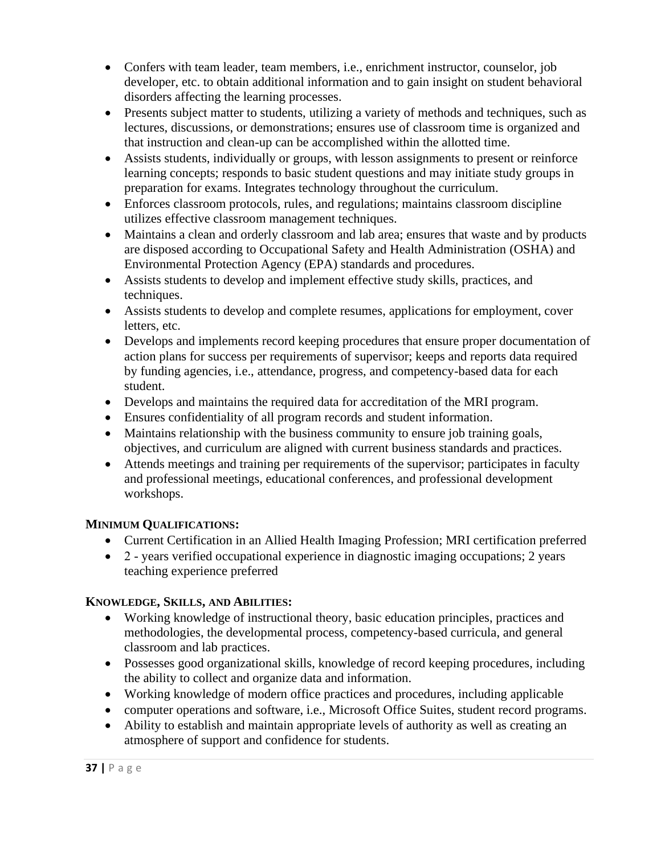- Confers with team leader, team members, i.e., enrichment instructor, counselor, job developer, etc. to obtain additional information and to gain insight on student behavioral disorders affecting the learning processes.
- Presents subject matter to students, utilizing a variety of methods and techniques, such as lectures, discussions, or demonstrations; ensures use of classroom time is organized and that instruction and clean-up can be accomplished within the allotted time.
- Assists students, individually or groups, with lesson assignments to present or reinforce learning concepts; responds to basic student questions and may initiate study groups in preparation for exams. Integrates technology throughout the curriculum.
- Enforces classroom protocols, rules, and regulations; maintains classroom discipline utilizes effective classroom management techniques.
- Maintains a clean and orderly classroom and lab area; ensures that waste and by products are disposed according to Occupational Safety and Health Administration (OSHA) and Environmental Protection Agency (EPA) standards and procedures.
- Assists students to develop and implement effective study skills, practices, and techniques.
- Assists students to develop and complete resumes, applications for employment, cover letters, etc.
- Develops and implements record keeping procedures that ensure proper documentation of action plans for success per requirements of supervisor; keeps and reports data required by funding agencies, i.e., attendance, progress, and competency-based data for each student.
- Develops and maintains the required data for accreditation of the MRI program.
- Ensures confidentiality of all program records and student information.
- Maintains relationship with the business community to ensure job training goals, objectives, and curriculum are aligned with current business standards and practices.
- Attends meetings and training per requirements of the supervisor; participates in faculty and professional meetings, educational conferences, and professional development workshops.

# **MINIMUM QUALIFICATIONS:**

- Current Certification in an Allied Health Imaging Profession; MRI certification preferred
- $\bullet$  2 years verified occupational experience in diagnostic imaging occupations; 2 years teaching experience preferred

# **KNOWLEDGE, SKILLS, AND ABILITIES:**

- Working knowledge of instructional theory, basic education principles, practices and methodologies, the developmental process, competency-based curricula, and general classroom and lab practices.
- Possesses good organizational skills, knowledge of record keeping procedures, including the ability to collect and organize data and information.
- Working knowledge of modern office practices and procedures, including applicable
- computer operations and software, i.e., Microsoft Office Suites, student record programs.
- Ability to establish and maintain appropriate levels of authority as well as creating an atmosphere of support and confidence for students.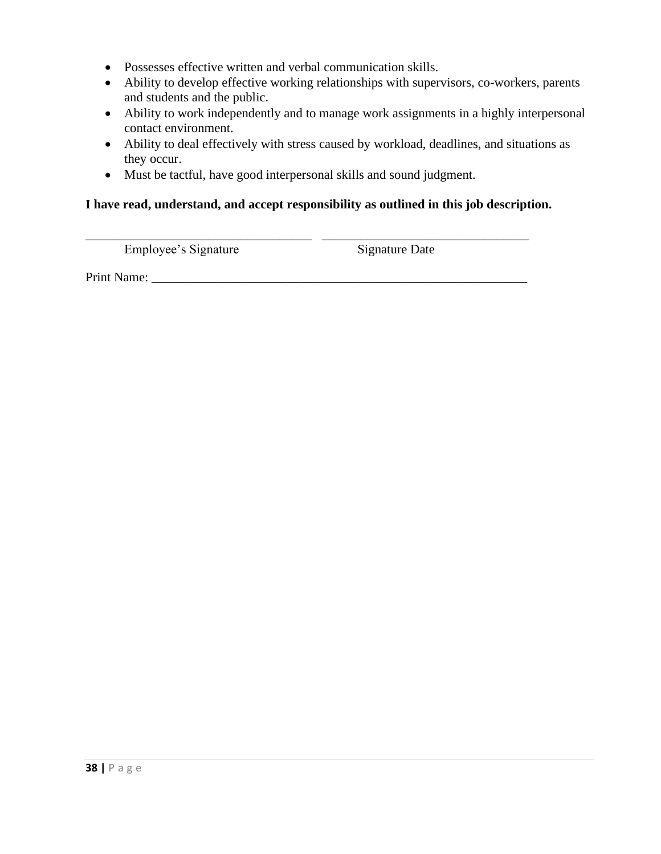- Possesses effective written and verbal communication skills.
- Ability to develop effective working relationships with supervisors, co-workers, parents and students and the public.
- Ability to work independently and to manage work assignments in a highly interpersonal contact environment.
- Ability to deal effectively with stress caused by workload, deadlines, and situations as they occur.
- Must be tactful, have good interpersonal skills and sound judgment.

# **I have read, understand, and accept responsibility as outlined in this job description.**

\_\_\_\_\_\_\_\_\_\_\_\_\_\_\_\_\_\_\_\_\_\_\_\_\_\_\_\_\_\_\_\_\_\_\_ \_\_\_\_\_\_\_\_\_\_\_\_\_\_\_\_\_\_\_\_\_\_\_\_\_\_\_\_\_\_\_\_

Employee's Signature Signature Date

Print Name: \_\_\_\_\_\_\_\_\_\_\_\_\_\_\_\_\_\_\_\_\_\_\_\_\_\_\_\_\_\_\_\_\_\_\_\_\_\_\_\_\_\_\_\_\_\_\_\_\_\_\_\_\_\_\_\_\_\_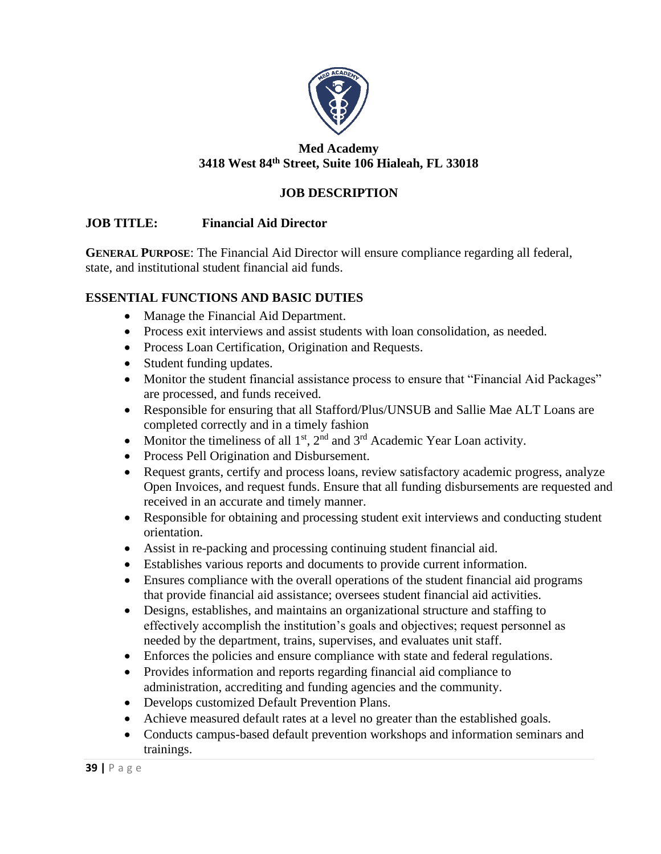

# **Med Academy 3418 West 84th Street, Suite 106 Hialeah, FL 33018**

# **JOB DESCRIPTION**

# **JOB TITLE: Financial Aid Director**

**GENERAL PURPOSE**: The Financial Aid Director will ensure compliance regarding all federal, state, and institutional student financial aid funds.

# **ESSENTIAL FUNCTIONS AND BASIC DUTIES**

- Manage the Financial Aid Department.
- Process exit interviews and assist students with loan consolidation, as needed.
- Process Loan Certification, Origination and Requests.
- Student funding updates.
- Monitor the student financial assistance process to ensure that "Financial Aid Packages" are processed, and funds received.
- Responsible for ensuring that all Stafford/Plus/UNSUB and Sallie Mae ALT Loans are completed correctly and in a timely fashion
- Monitor the timeliness of all  $1<sup>st</sup>$ ,  $2<sup>nd</sup>$  and  $3<sup>rd</sup>$  Academic Year Loan activity.
- Process Pell Origination and Disbursement.
- Request grants, certify and process loans, review satisfactory academic progress, analyze Open Invoices, and request funds. Ensure that all funding disbursements are requested and received in an accurate and timely manner.
- Responsible for obtaining and processing student exit interviews and conducting student orientation.
- Assist in re-packing and processing continuing student financial aid.
- Establishes various reports and documents to provide current information.
- Ensures compliance with the overall operations of the student financial aid programs that provide financial aid assistance; oversees student financial aid activities.
- Designs, establishes, and maintains an organizational structure and staffing to effectively accomplish the institution's goals and objectives; request personnel as needed by the department, trains, supervises, and evaluates unit staff.
- Enforces the policies and ensure compliance with state and federal regulations.
- Provides information and reports regarding financial aid compliance to administration, accrediting and funding agencies and the community.
- Develops customized Default Prevention Plans.
- Achieve measured default rates at a level no greater than the established goals.
- Conducts campus-based default prevention workshops and information seminars and trainings.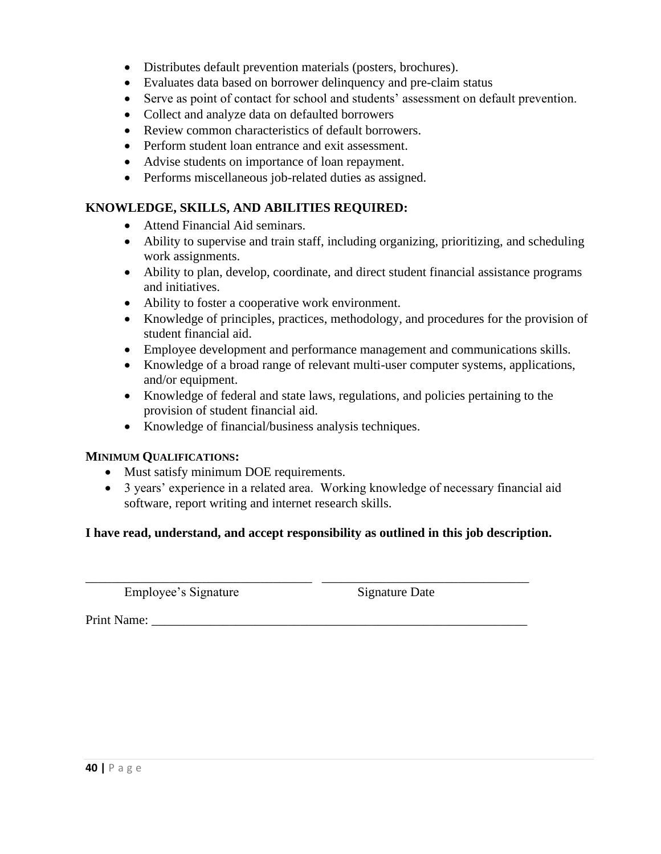- Distributes default prevention materials (posters, brochures).
- Evaluates data based on borrower delinquency and pre-claim status
- Serve as point of contact for school and students' assessment on default prevention.
- Collect and analyze data on defaulted borrowers
- Review common characteristics of default borrowers.
- Perform student loan entrance and exit assessment.
- Advise students on importance of loan repayment.
- Performs miscellaneous job-related duties as assigned.

# **KNOWLEDGE, SKILLS, AND ABILITIES REQUIRED:**

- Attend Financial Aid seminars.
- Ability to supervise and train staff, including organizing, prioritizing, and scheduling work assignments.
- Ability to plan, develop, coordinate, and direct student financial assistance programs and initiatives.
- Ability to foster a cooperative work environment.
- Knowledge of principles, practices, methodology, and procedures for the provision of student financial aid.
- Employee development and performance management and communications skills.
- Knowledge of a broad range of relevant multi-user computer systems, applications, and/or equipment.
- Knowledge of federal and state laws, regulations, and policies pertaining to the provision of student financial aid.
- Knowledge of financial/business analysis techniques.

# **MINIMUM QUALIFICATIONS:**

- Must satisfy minimum DOE requirements.
- 3 years' experience in a related area. Working knowledge of necessary financial aid software, report writing and internet research skills.

# **I have read, understand, and accept responsibility as outlined in this job description.**

\_\_\_\_\_\_\_\_\_\_\_\_\_\_\_\_\_\_\_\_\_\_\_\_\_\_\_\_\_\_\_\_\_\_\_ \_\_\_\_\_\_\_\_\_\_\_\_\_\_\_\_\_\_\_\_\_\_\_\_\_\_\_\_\_\_\_\_

Employee's Signature Signature Date

Print Name: \_\_\_\_\_\_\_\_\_\_\_\_\_\_\_\_\_\_\_\_\_\_\_\_\_\_\_\_\_\_\_\_\_\_\_\_\_\_\_\_\_\_\_\_\_\_\_\_\_\_\_\_\_\_\_\_\_\_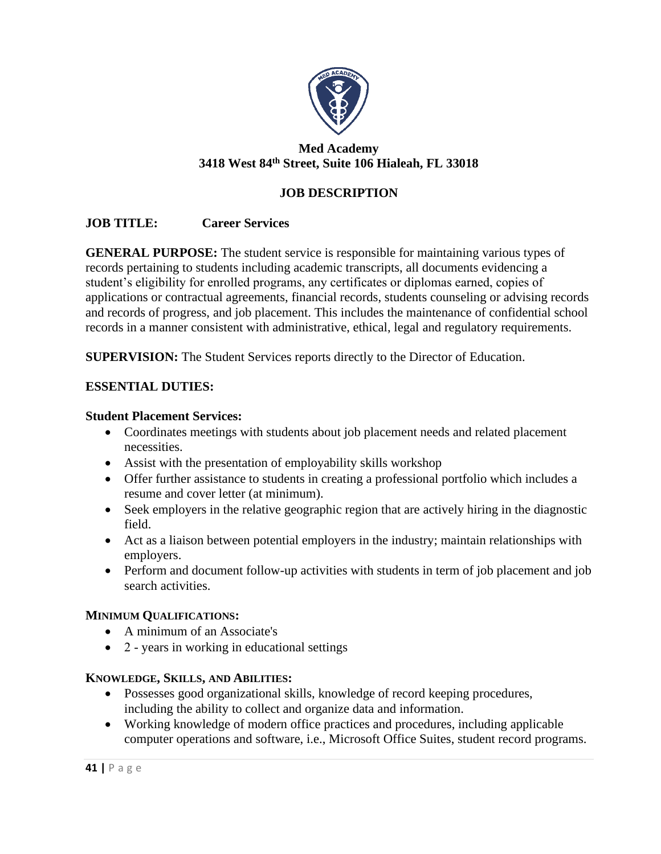

# **Med Academy 3418 West 84th Street, Suite 106 Hialeah, FL 33018**

# **JOB DESCRIPTION**

# **JOB TITLE: Career Services**

**GENERAL PURPOSE:** The student service is responsible for maintaining various types of records pertaining to students including academic transcripts, all documents evidencing a student's eligibility for enrolled programs, any certificates or diplomas earned, copies of applications or contractual agreements, financial records, students counseling or advising records and records of progress, and job placement. This includes the maintenance of confidential school records in a manner consistent with administrative, ethical, legal and regulatory requirements.

**SUPERVISION:** The Student Services reports directly to the Director of Education.

# **ESSENTIAL DUTIES:**

# **Student Placement Services:**

- Coordinates meetings with students about job placement needs and related placement necessities.
- Assist with the presentation of employability skills workshop
- Offer further assistance to students in creating a professional portfolio which includes a resume and cover letter (at minimum).
- Seek employers in the relative geographic region that are actively hiring in the diagnostic field.
- Act as a liaison between potential employers in the industry; maintain relationships with employers.
- Perform and document follow-up activities with students in term of job placement and job search activities.

# **MINIMUM QUALIFICATIONS:**

- A minimum of an Associate's
- $\bullet$  2 years in working in educational settings

# **KNOWLEDGE, SKILLS, AND ABILITIES:**

- Possesses good organizational skills, knowledge of record keeping procedures, including the ability to collect and organize data and information.
- Working knowledge of modern office practices and procedures, including applicable computer operations and software, i.e., Microsoft Office Suites, student record programs.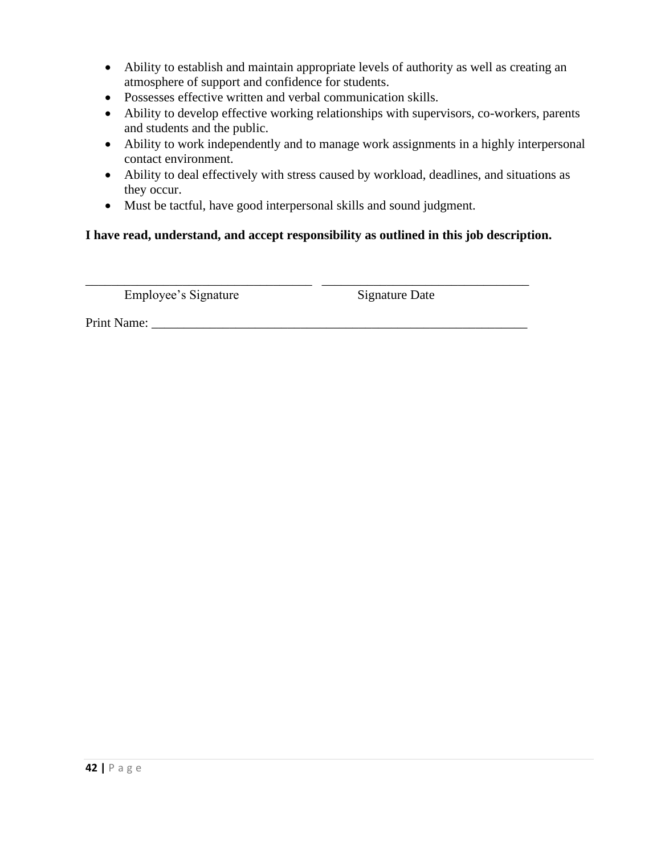- Ability to establish and maintain appropriate levels of authority as well as creating an atmosphere of support and confidence for students.
- Possesses effective written and verbal communication skills.
- Ability to develop effective working relationships with supervisors, co-workers, parents and students and the public.
- Ability to work independently and to manage work assignments in a highly interpersonal contact environment.
- Ability to deal effectively with stress caused by workload, deadlines, and situations as they occur.
- Must be tactful, have good interpersonal skills and sound judgment.

# **I have read, understand, and accept responsibility as outlined in this job description.**

\_\_\_\_\_\_\_\_\_\_\_\_\_\_\_\_\_\_\_\_\_\_\_\_\_\_\_\_\_\_\_\_\_\_\_ \_\_\_\_\_\_\_\_\_\_\_\_\_\_\_\_\_\_\_\_\_\_\_\_\_\_\_\_\_\_\_\_ Employee's Signature Signature Date

Print Name: \_\_\_\_\_\_\_\_\_\_\_\_\_\_\_\_\_\_\_\_\_\_\_\_\_\_\_\_\_\_\_\_\_\_\_\_\_\_\_\_\_\_\_\_\_\_\_\_\_\_\_\_\_\_\_\_\_\_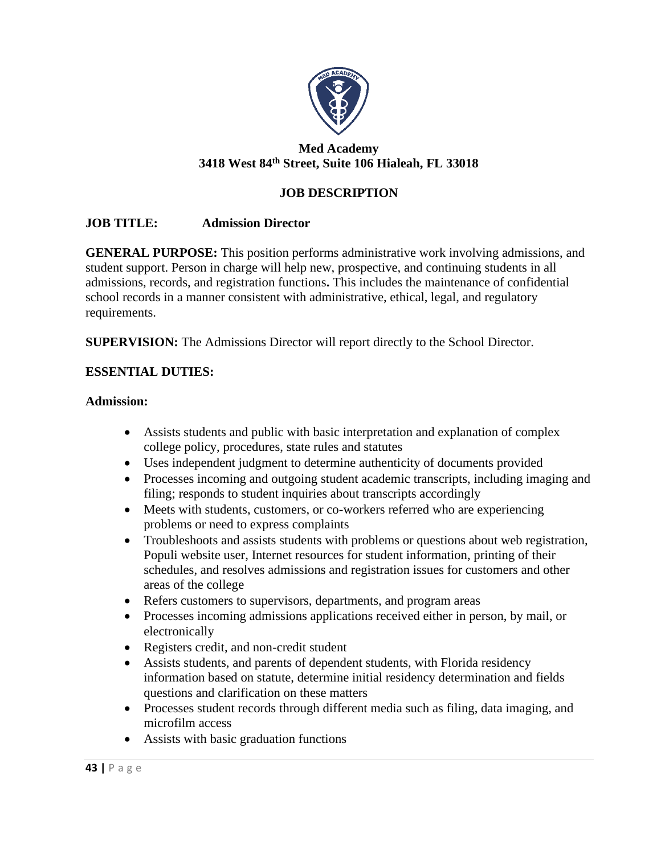

# **Med Academy 3418 West 84th Street, Suite 106 Hialeah, FL 33018**

# **JOB DESCRIPTION**

# **JOB TITLE: Admission Director**

**GENERAL PURPOSE:** This position performs administrative work involving admissions, and student support. Person in charge will help new, prospective, and continuing students in all admissions, records, and registration functions**.** This includes the maintenance of confidential school records in a manner consistent with administrative, ethical, legal, and regulatory requirements.

**SUPERVISION:** The Admissions Director will report directly to the School Director.

# **ESSENTIAL DUTIES:**

#### **Admission:**

- Assists students and public with basic interpretation and explanation of complex college policy, procedures, state rules and statutes
- Uses independent judgment to determine authenticity of documents provided
- Processes incoming and outgoing student academic transcripts, including imaging and filing; responds to student inquiries about transcripts accordingly
- Meets with students, customers, or co-workers referred who are experiencing problems or need to express complaints
- Troubleshoots and assists students with problems or questions about web registration, Populi website user, Internet resources for student information, printing of their schedules, and resolves admissions and registration issues for customers and other areas of the college
- Refers customers to supervisors, departments, and program areas
- Processes incoming admissions applications received either in person, by mail, or electronically
- Registers credit, and non-credit student
- Assists students, and parents of dependent students, with Florida residency information based on statute, determine initial residency determination and fields questions and clarification on these matters
- Processes student records through different media such as filing, data imaging, and microfilm access
- Assists with basic graduation functions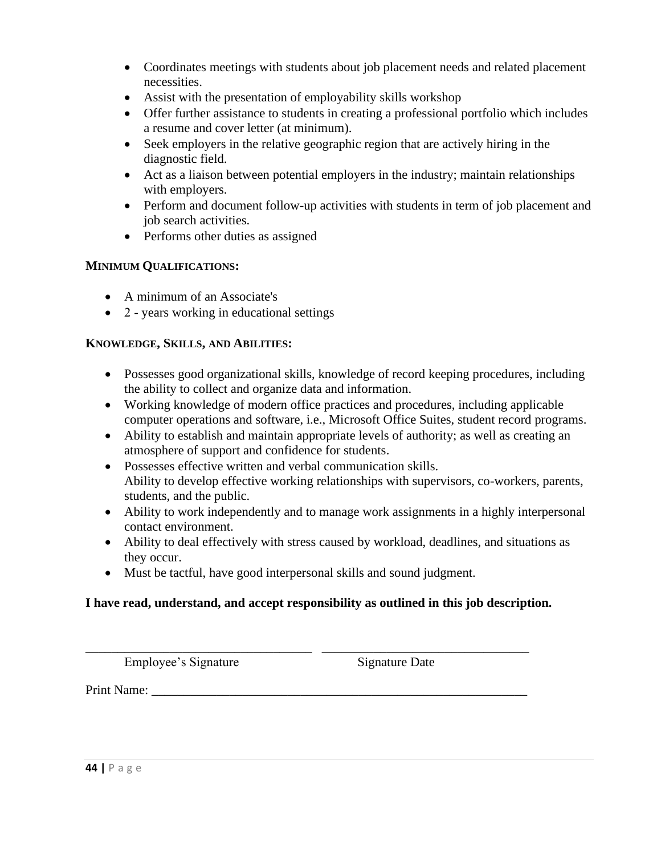- Coordinates meetings with students about job placement needs and related placement necessities.
- Assist with the presentation of employability skills workshop
- Offer further assistance to students in creating a professional portfolio which includes a resume and cover letter (at minimum).
- Seek employers in the relative geographic region that are actively hiring in the diagnostic field.
- Act as a liaison between potential employers in the industry; maintain relationships with employers.
- Perform and document follow-up activities with students in term of job placement and job search activities.
- Performs other duties as assigned

# **MINIMUM QUALIFICATIONS:**

- A minimum of an Associate's
- $\bullet$  2 years working in educational settings

# **KNOWLEDGE, SKILLS, AND ABILITIES:**

- Possesses good organizational skills, knowledge of record keeping procedures, including the ability to collect and organize data and information.
- Working knowledge of modern office practices and procedures, including applicable computer operations and software, i.e., Microsoft Office Suites, student record programs.
- Ability to establish and maintain appropriate levels of authority; as well as creating an atmosphere of support and confidence for students.
- Possesses effective written and verbal communication skills. Ability to develop effective working relationships with supervisors, co-workers, parents, students, and the public.
- Ability to work independently and to manage work assignments in a highly interpersonal contact environment.
- Ability to deal effectively with stress caused by workload, deadlines, and situations as they occur.
- Must be tactful, have good interpersonal skills and sound judgment.

# **I have read, understand, and accept responsibility as outlined in this job description.**

\_\_\_\_\_\_\_\_\_\_\_\_\_\_\_\_\_\_\_\_\_\_\_\_\_\_\_\_\_\_\_\_\_\_\_ \_\_\_\_\_\_\_\_\_\_\_\_\_\_\_\_\_\_\_\_\_\_\_\_\_\_\_\_\_\_\_\_ Employee's Signature Signature Date

Print Name: \_\_\_\_\_\_\_\_\_\_\_\_\_\_\_\_\_\_\_\_\_\_\_\_\_\_\_\_\_\_\_\_\_\_\_\_\_\_\_\_\_\_\_\_\_\_\_\_\_\_\_\_\_\_\_\_\_\_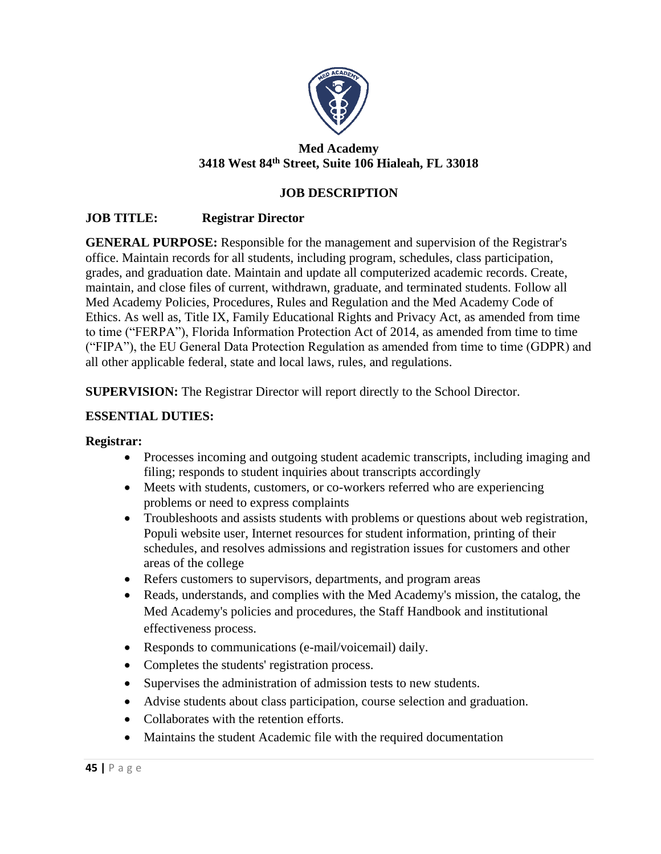

# **Med Academy 3418 West 84th Street, Suite 106 Hialeah, FL 33018**

# **JOB DESCRIPTION**

# **JOB TITLE: Registrar Director**

**GENERAL PURPOSE:** Responsible for the management and supervision of the Registrar's office. Maintain records for all students, including program, schedules, class participation, grades, and graduation date. Maintain and update all computerized academic records. Create, maintain, and close files of current, withdrawn, graduate, and terminated students. Follow all Med Academy Policies, Procedures, Rules and Regulation and the Med Academy Code of Ethics. As well as, Title IX, Family Educational Rights and Privacy Act, as amended from time to time ("FERPA"), Florida Information Protection Act of 2014, as amended from time to time ("FIPA"), the EU General Data Protection Regulation as amended from time to time (GDPR) and all other applicable federal, state and local laws, rules, and regulations.

**SUPERVISION:** The Registrar Director will report directly to the School Director.

# **ESSENTIAL DUTIES:**

# **Registrar:**

- Processes incoming and outgoing student academic transcripts, including imaging and filing; responds to student inquiries about transcripts accordingly
- Meets with students, customers, or co-workers referred who are experiencing problems or need to express complaints
- Troubleshoots and assists students with problems or questions about web registration, Populi website user, Internet resources for student information, printing of their schedules, and resolves admissions and registration issues for customers and other areas of the college
- Refers customers to supervisors, departments, and program areas
- Reads, understands, and complies with the Med Academy's mission, the catalog, the Med Academy's policies and procedures, the Staff Handbook and institutional effectiveness process.
- Responds to communications (e-mail/voicemail) daily.
- Completes the students' registration process.
- Supervises the administration of admission tests to new students.
- Advise students about class participation, course selection and graduation.
- Collaborates with the retention efforts.
- Maintains the student Academic file with the required documentation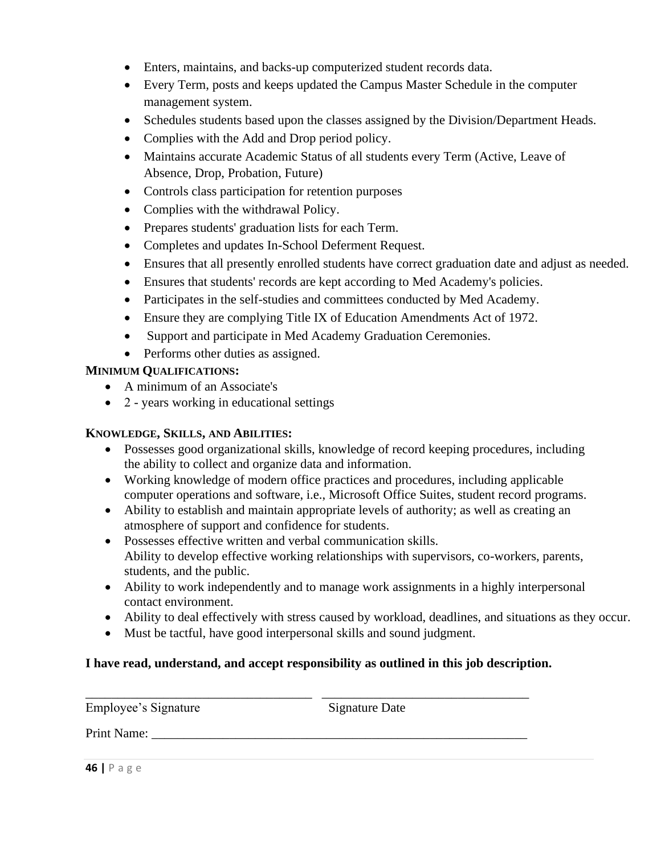- Enters, maintains, and backs-up computerized student records data.
- Every Term, posts and keeps updated the Campus Master Schedule in the computer management system.
- Schedules students based upon the classes assigned by the Division/Department Heads.
- Complies with the Add and Drop period policy.
- Maintains accurate Academic Status of all students every Term (Active, Leave of Absence, Drop, Probation, Future)
- Controls class participation for retention purposes
- Complies with the withdrawal Policy.
- Prepares students' graduation lists for each Term.
- Completes and updates In-School Deferment Request.
- Ensures that all presently enrolled students have correct graduation date and adjust as needed.
- Ensures that students' records are kept according to Med Academy's policies.
- Participates in the self-studies and committees conducted by Med Academy.
- Ensure they are complying Title IX of Education Amendments Act of 1972.
- Support and participate in Med Academy Graduation Ceremonies.
- Performs other duties as assigned.

# **MINIMUM QUALIFICATIONS:**

- A minimum of an Associate's
- $\bullet$  2 years working in educational settings

# **KNOWLEDGE, SKILLS, AND ABILITIES:**

- Possesses good organizational skills, knowledge of record keeping procedures, including the ability to collect and organize data and information.
- Working knowledge of modern office practices and procedures, including applicable computer operations and software, i.e., Microsoft Office Suites, student record programs.
- Ability to establish and maintain appropriate levels of authority; as well as creating an atmosphere of support and confidence for students.
- Possesses effective written and verbal communication skills. Ability to develop effective working relationships with supervisors, co-workers, parents, students, and the public.
- Ability to work independently and to manage work assignments in a highly interpersonal contact environment.
- Ability to deal effectively with stress caused by workload, deadlines, and situations as they occur.
- Must be tactful, have good interpersonal skills and sound judgment.

# **I have read, understand, and accept responsibility as outlined in this job description.**

\_\_\_\_\_\_\_\_\_\_\_\_\_\_\_\_\_\_\_\_\_\_\_\_\_\_\_\_\_\_\_\_\_\_\_ \_\_\_\_\_\_\_\_\_\_\_\_\_\_\_\_\_\_\_\_\_\_\_\_\_\_\_\_\_\_\_\_

| Employee's Signature |  |
|----------------------|--|
|----------------------|--|

Signature Date

Print Name:

**46 |** P a g e